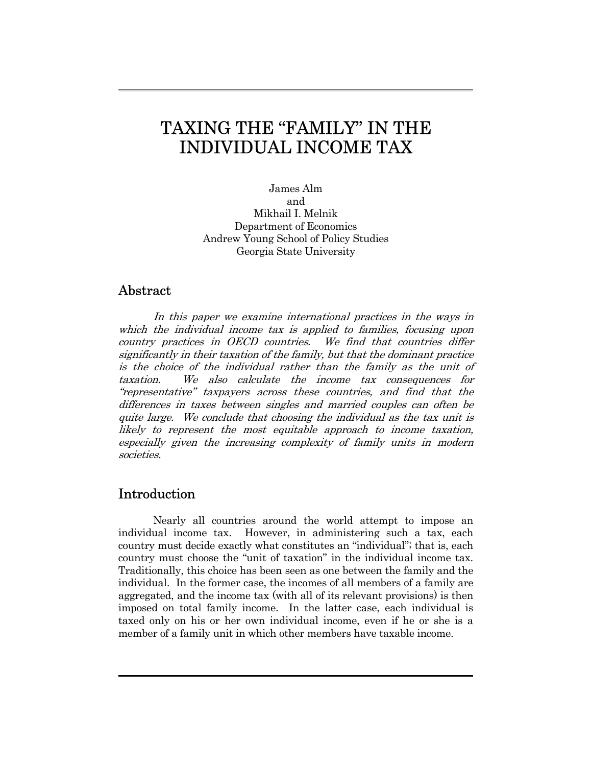# TAXING THE "FAMILY" IN THE INDIVIDUAL INCOME TAX

James Alm and Mikhail I. Melnik Department of Economics Andrew Young School of Policy Studies Georgia State University

# Abstract

 In this paper we examine international practices in the ways in which the individual income tax is applied to families, focusing upon country practices in OECD countries. We find that countries differ significantly in their taxation of the family, but that the dominant practice is the choice of the individual rather than the family as the unit of taxation. We also calculate the income tax consequences for "representative" taxpayers across these countries, and find that the differences in taxes between singles and married couples can often be quite large. We conclude that choosing the individual as the tax unit is likely to represent the most equitable approach to income taxation, especially given the increasing complexity of family units in modern societies.

# Introduction

Nearly all countries around the world attempt to impose an individual income tax. However, in administering such a tax, each country must decide exactly what constitutes an "individual"; that is, each country must choose the "unit of taxation" in the individual income tax. Traditionally, this choice has been seen as one between the family and the individual. In the former case, the incomes of all members of a family are aggregated, and the income tax (with all of its relevant provisions) is then imposed on total family income. In the latter case, each individual is taxed only on his or her own individual income, even if he or she is a member of a family unit in which other members have taxable income.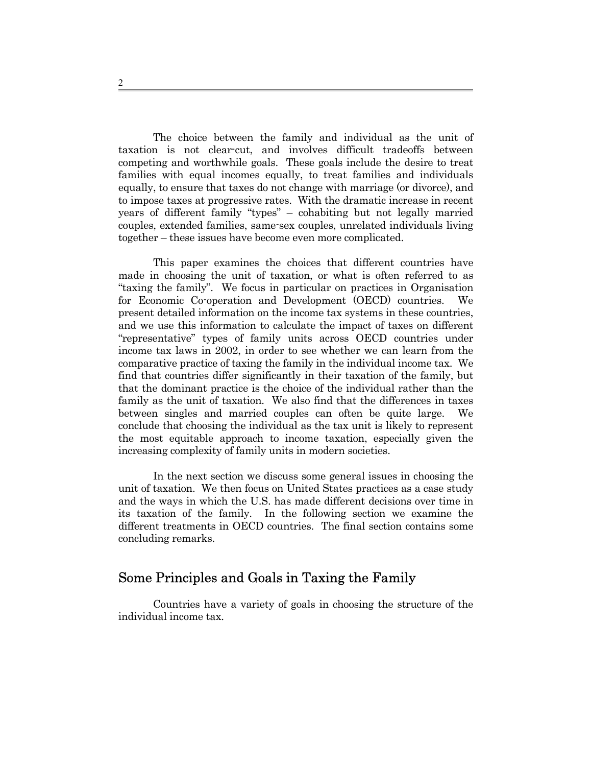The choice between the family and individual as the unit of taxation is not clear-cut, and involves difficult tradeoffs between competing and worthwhile goals. These goals include the desire to treat families with equal incomes equally, to treat families and individuals equally, to ensure that taxes do not change with marriage (or divorce), and to impose taxes at progressive rates. With the dramatic increase in recent years of different family "types" – cohabiting but not legally married couples, extended families, same-sex couples, unrelated individuals living together – these issues have become even more complicated.

 This paper examines the choices that different countries have made in choosing the unit of taxation, or what is often referred to as "taxing the family". We focus in particular on practices in Organisation for Economic Co-operation and Development (OECD) countries. We present detailed information on the income tax systems in these countries, and we use this information to calculate the impact of taxes on different "representative" types of family units across OECD countries under income tax laws in 2002, in order to see whether we can learn from the comparative practice of taxing the family in the individual income tax. We find that countries differ significantly in their taxation of the family, but that the dominant practice is the choice of the individual rather than the family as the unit of taxation. We also find that the differences in taxes between singles and married couples can often be quite large. We conclude that choosing the individual as the tax unit is likely to represent the most equitable approach to income taxation, especially given the increasing complexity of family units in modern societies.

 In the next section we discuss some general issues in choosing the unit of taxation. We then focus on United States practices as a case study and the ways in which the U.S. has made different decisions over time in its taxation of the family. In the following section we examine the different treatments in OECD countries. The final section contains some concluding remarks.

### Some Principles and Goals in Taxing the Family

 Countries have a variety of goals in choosing the structure of the individual income tax.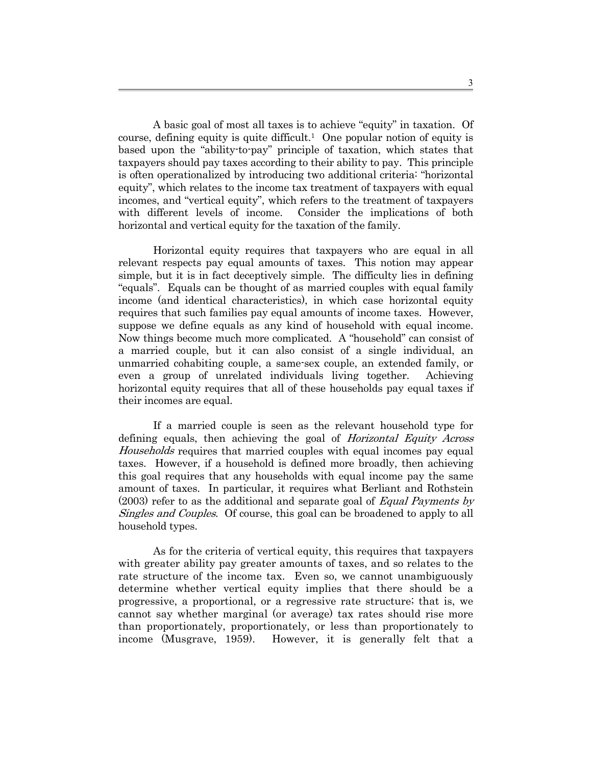A basic goal of most all taxes is to achieve "equity" in taxation. Of course, defining equity is quite difficult.<sup>1</sup> One popular notion of equity is based upon the "ability-to-pay" principle of taxation, which states that taxpayers should pay taxes according to their ability to pay. This principle is often operationalized by introducing two additional criteria: "horizontal equity", which relates to the income tax treatment of taxpayers with equal incomes, and "vertical equity", which refers to the treatment of taxpayers with different levels of income. Consider the implications of both horizontal and vertical equity for the taxation of the family.

 Horizontal equity requires that taxpayers who are equal in all relevant respects pay equal amounts of taxes. This notion may appear simple, but it is in fact deceptively simple. The difficulty lies in defining "equals". Equals can be thought of as married couples with equal family income (and identical characteristics), in which case horizontal equity requires that such families pay equal amounts of income taxes. However, suppose we define equals as any kind of household with equal income. Now things become much more complicated. A "household" can consist of a married couple, but it can also consist of a single individual, an unmarried cohabiting couple, a same-sex couple, an extended family, or even a group of unrelated individuals living together. Achieving horizontal equity requires that all of these households pay equal taxes if their incomes are equal.

 If a married couple is seen as the relevant household type for defining equals, then achieving the goal of *Horizontal Equity Across* Households requires that married couples with equal incomes pay equal taxes. However, if a household is defined more broadly, then achieving this goal requires that any households with equal income pay the same amount of taxes. In particular, it requires what Berliant and Rothstein  $(2003)$  refer to as the additional and separate goal of *Equal Payments by* Singles and Couples. Of course, this goal can be broadened to apply to all household types.

 As for the criteria of vertical equity, this requires that taxpayers with greater ability pay greater amounts of taxes, and so relates to the rate structure of the income tax. Even so, we cannot unambiguously determine whether vertical equity implies that there should be a progressive, a proportional, or a regressive rate structure; that is, we cannot say whether marginal (or average) tax rates should rise more than proportionately, proportionately, or less than proportionately to income (Musgrave, 1959). However, it is generally felt that a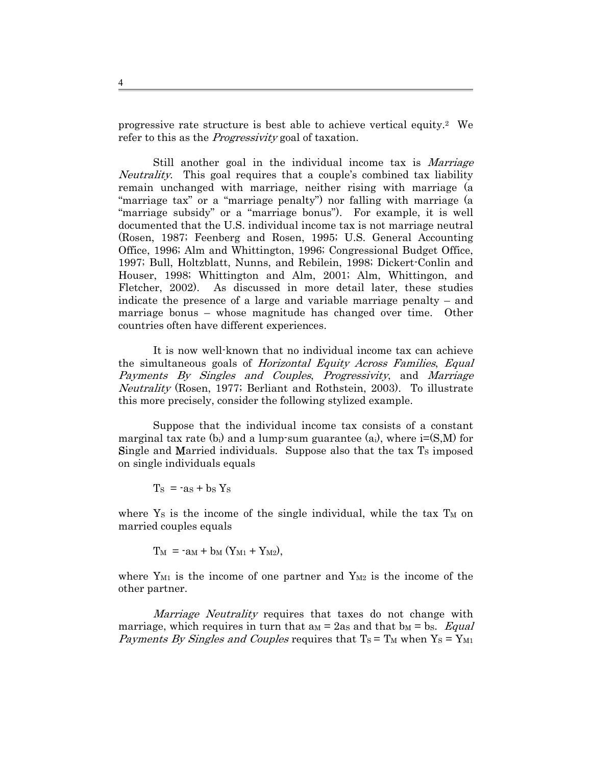progressive rate structure is best able to achieve vertical equity.[2](#page-35-1) We refer to this as the *Progressivity* goal of taxation.

Still another goal in the individual income tax is *Marriage* Neutrality. This goal requires that a couple's combined tax liability remain unchanged with marriage, neither rising with marriage (a "marriage tax" or a "marriage penalty") nor falling with marriage (a "marriage subsidy" or a "marriage bonus"). For example, it is well documented that the U.S. individual income tax is not marriage neutral (Rosen, 1987; Feenberg and Rosen, 1995; U.S. General Accounting Office, 1996; Alm and Whittington, 1996; Congressional Budget Office, 1997; Bull, Holtzblatt, Nunns, and Rebilein, 1998; Dickert-Conlin and Houser, 1998; Whittington and Alm, 2001; Alm, Whittingon, and Fletcher, 2002). As discussed in more detail later, these studies indicate the presence of a large and variable marriage penalty – and marriage bonus – whose magnitude has changed over time. Other countries often have different experiences.

 It is now well-known that no individual income tax can achieve the simultaneous goals of *Horizontal Equity Across Families*, *Equal* Payments By Singles and Couples, Progressivity, and Marriage Neutrality (Rosen, 1977; Berliant and Rothstein, 2003). To illustrate this more precisely, consider the following stylized example.

 Suppose that the individual income tax consists of a constant marginal tax rate (b<sub>i</sub>) and a lump-sum guarantee (a<sub>i</sub>), where  $i=(S,M)$  for Single and Married individuals. Suppose also that the tax  $T<sub>S</sub>$  imposed on single individuals equals

 $T<sub>S</sub> = -as + bs Y<sub>S</sub>$ 

where  $Y_s$  is the income of the single individual, while the tax  $T_M$  on married couples equals

 $T_M = -a_M + b_M (Y_{M1} + Y_{M2})$ ,

where  $Y_{M1}$  is the income of one partner and  $Y_{M2}$  is the income of the other partner.

Marriage Neutrality requires that taxes do not change with marriage, which requires in turn that am  $=$  2as and that bm  $=$  bs. Equal Payments By Singles and Couples requires that  $T_S = T_M$  when  $Y_S = Y_{M1}$ 

4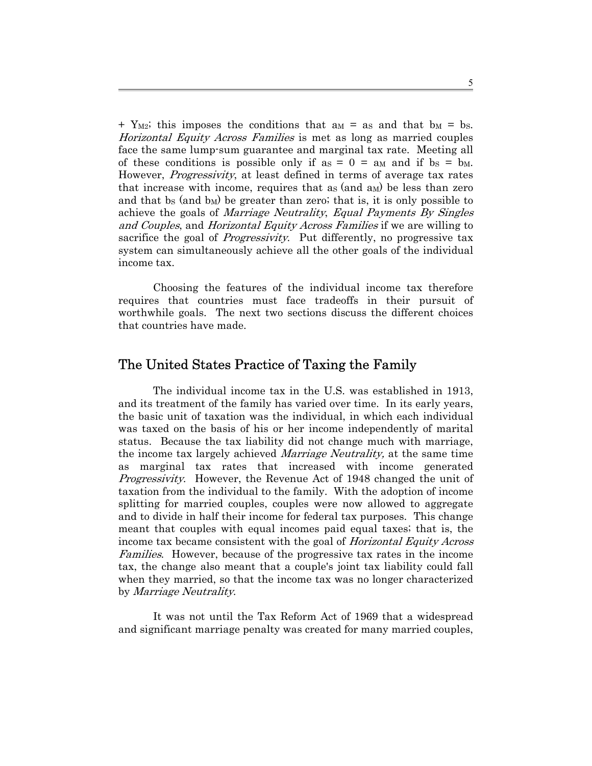$+$  Y<sub>M2</sub>; this imposes the conditions that a<sub>M</sub> = as and that b<sub>M</sub> = b<sub>S</sub>. Horizontal Equity Across Families is met as long as married couples face the same lump-sum guarantee and marginal tax rate. Meeting all of these conditions is possible only if  $a_S = 0 = a_M$  and if  $b_S = b_M$ . However, *Progressivity*, at least defined in terms of average tax rates that increase with income, requires that as  $(and a<sub>M</sub>)$  be less than zero and that bs (and  $b_M$ ) be greater than zero; that is, it is only possible to achieve the goals of Marriage Neutrality, Equal Payments By Singles and Couples, and Horizontal Equity Across Families if we are willing to sacrifice the goal of *Progressivity*. Put differently, no progressive tax system can simultaneously achieve all the other goals of the individual income tax.

Choosing the features of the individual income tax therefore requires that countries must face tradeoffs in their pursuit of worthwhile goals. The next two sections discuss the different choices that countries have made.

# The United States Practice of Taxing the Family

The individual income tax in the U.S. was established in 1913, and its treatment of the family has varied over time. In its early years, the basic unit of taxation was the individual, in which each individual was taxed on the basis of his or her income independently of marital status. Because the tax liability did not change much with marriage, the income tax largely achieved *Marriage Neutrality*, at the same time as marginal tax rates that increased with income generated Progressivity. However, the Revenue Act of 1948 changed the unit of taxation from the individual to the family. With the adoption of income splitting for married couples, couples were now allowed to aggregate and to divide in half their income for federal tax purposes. This change meant that couples with equal incomes paid equal taxes; that is, the income tax became consistent with the goal of Horizontal Equity Across Families. However, because of the progressive tax rates in the income tax, the change also meant that a couple's joint tax liability could fall when they married, so that the income tax was no longer characterized by Marriage Neutrality.

It was not until the Tax Reform Act of 1969 that a widespread and significant marriage penalty was created for many married couples,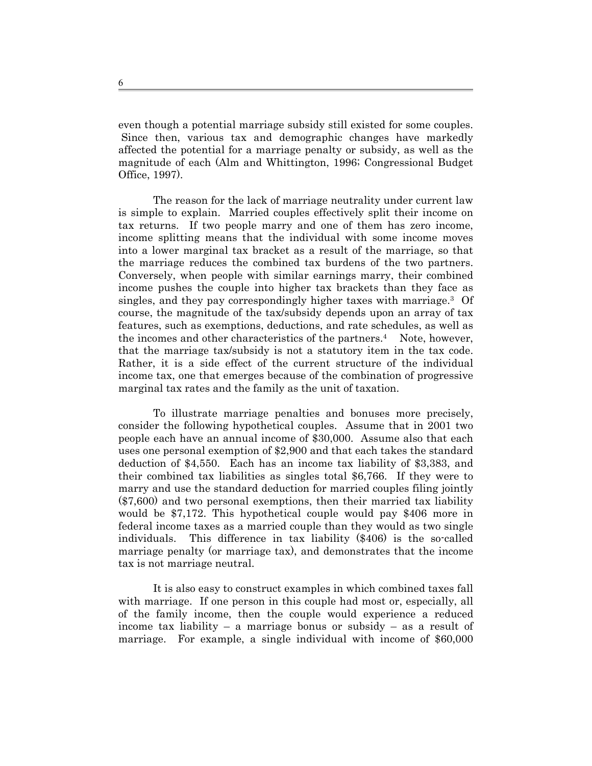even though a potential marriage subsidy still existed for some couples. Since then, various tax and demographic changes have markedly affected the potential for a marriage penalty or subsidy, as well as the magnitude of each (Alm and Whittington, 1996; Congressional Budget Office, 1997).

The reason for the lack of marriage neutrality under current law is simple to explain. Married couples effectively split their income on tax returns. If two people marry and one of them has zero income, income splitting means that the individual with some income moves into a lower marginal tax bracket as a result of the marriage, so that the marriage reduces the combined tax burdens of the two partners. Conversely, when people with similar earnings marry, their combined income pushes the couple into higher tax brackets than they face as singles, and they pay correspondingly higher taxes with marriage.[3](#page-35-2) Of course, the magnitude of the tax/subsidy depends upon an array of tax features, such as exemptions, deductions, and rate schedules, as well as the incomes and other characteristics of the partners[.4](#page-35-3) Note, however, that the marriage tax/subsidy is not a statutory item in the tax code. Rather, it is a side effect of the current structure of the individual income tax, one that emerges because of the combination of progressive marginal tax rates and the family as the unit of taxation.

To illustrate marriage penalties and bonuses more precisely, consider the following hypothetical couples. Assume that in 2001 two people each have an annual income of \$30,000. Assume also that each uses one personal exemption of \$2,900 and that each takes the standard deduction of \$4,550. Each has an income tax liability of \$3,383, and their combined tax liabilities as singles total \$6,766. If they were to marry and use the standard deduction for married couples filing jointly (\$7,600) and two personal exemptions, then their married tax liability would be \$7,172. This hypothetical couple would pay \$406 more in federal income taxes as a married couple than they would as two single individuals. This difference in tax liability (\$406) is the so-called marriage penalty (or marriage tax), and demonstrates that the income tax is not marriage neutral.

It is also easy to construct examples in which combined taxes fall with marriage. If one person in this couple had most or, especially, all of the family income, then the couple would experience a reduced income tax liability – a marriage bonus or subsidy – as a result of marriage. For example, a single individual with income of \$60,000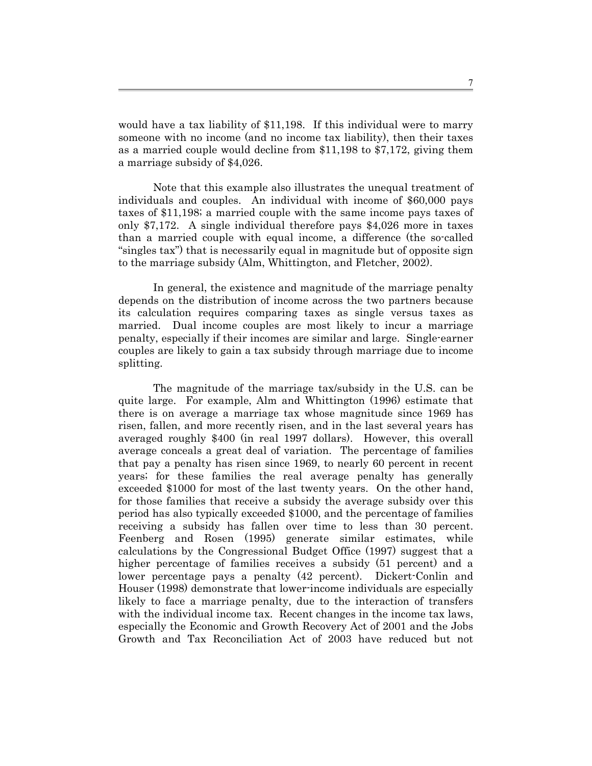would have a tax liability of \$11,198. If this individual were to marry someone with no income (and no income tax liability), then their taxes as a married couple would decline from \$11,198 to \$7,172, giving them a marriage subsidy of \$4,026.

Note that this example also illustrates the unequal treatment of individuals and couples. An individual with income of \$60,000 pays taxes of \$11,198; a married couple with the same income pays taxes of only \$7,172. A single individual therefore pays \$4,026 more in taxes than a married couple with equal income, a difference (the so-called "singles tax") that is necessarily equal in magnitude but of opposite sign to the marriage subsidy (Alm, Whittington, and Fletcher, 2002).

In general, the existence and magnitude of the marriage penalty depends on the distribution of income across the two partners because its calculation requires comparing taxes as single versus taxes as married. Dual income couples are most likely to incur a marriage penalty, especially if their incomes are similar and large. Single-earner couples are likely to gain a tax subsidy through marriage due to income splitting.

The magnitude of the marriage tax/subsidy in the U.S. can be quite large. For example, Alm and Whittington (1996) estimate that there is on average a marriage tax whose magnitude since 1969 has risen, fallen, and more recently risen, and in the last several years has averaged roughly \$400 (in real 1997 dollars). However, this overall average conceals a great deal of variation. The percentage of families that pay a penalty has risen since 1969, to nearly 60 percent in recent years; for these families the real average penalty has generally exceeded \$1000 for most of the last twenty years. On the other hand, for those families that receive a subsidy the average subsidy over this period has also typically exceeded \$1000, and the percentage of families receiving a subsidy has fallen over time to less than 30 percent. Feenberg and Rosen (1995) generate similar estimates, while calculations by the Congressional Budget Office (1997) suggest that a higher percentage of families receives a subsidy (51 percent) and a lower percentage pays a penalty (42 percent). Dickert-Conlin and Houser (1998) demonstrate that lower-income individuals are especially likely to face a marriage penalty, due to the interaction of transfers with the individual income tax. Recent changes in the income tax laws, especially the Economic and Growth Recovery Act of 2001 and the Jobs Growth and Tax Reconciliation Act of 2003 have reduced but not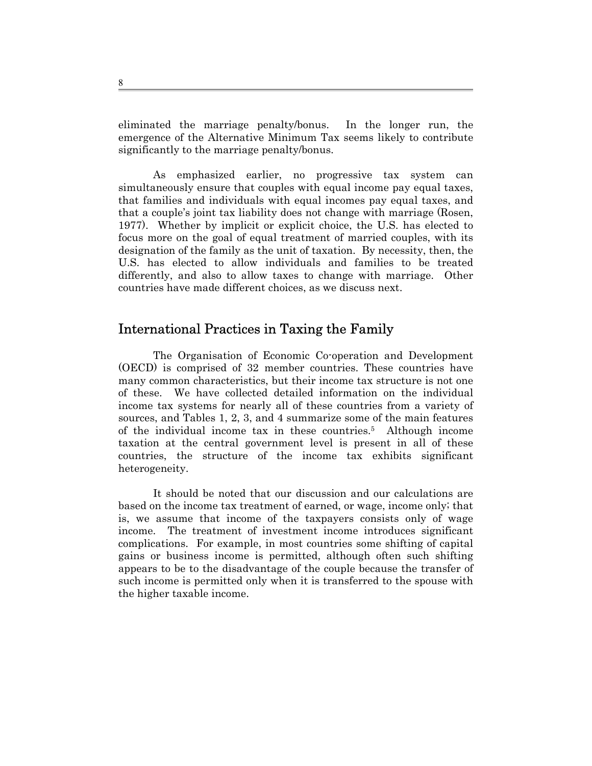eliminated the marriage penalty/bonus. In the longer run, the emergence of the Alternative Minimum Tax seems likely to contribute significantly to the marriage penalty/bonus.

As emphasized earlier, no progressive tax system can simultaneously ensure that couples with equal income pay equal taxes, that families and individuals with equal incomes pay equal taxes, and that a couple's joint tax liability does not change with marriage (Rosen, 1977). Whether by implicit or explicit choice, the U.S. has elected to focus more on the goal of equal treatment of married couples, with its designation of the family as the unit of taxation. By necessity, then, the U.S. has elected to allow individuals and families to be treated differently, and also to allow taxes to change with marriage. Other countries have made different choices, as we discuss next.

# International Practices in Taxing the Family

The Organisation of Economic Co-operation and Development (OECD) is comprised of 32 member countries. These countries have many common characteristics, but their income tax structure is not one of these. We have collected detailed information on the individual income tax systems for nearly all of these countries from a variety of sources, and Tables 1, 2, 3, and 4 summarize some of the main features of the individual income tax in these countries[.5](#page-35-4) Although income taxation at the central government level is present in all of these countries, the structure of the income tax exhibits significant heterogeneity.

It should be noted that our discussion and our calculations are based on the income tax treatment of earned, or wage, income only; that is, we assume that income of the taxpayers consists only of wage income. The treatment of investment income introduces significant complications. For example, in most countries some shifting of capital gains or business income is permitted, although often such shifting appears to be to the disadvantage of the couple because the transfer of such income is permitted only when it is transferred to the spouse with the higher taxable income.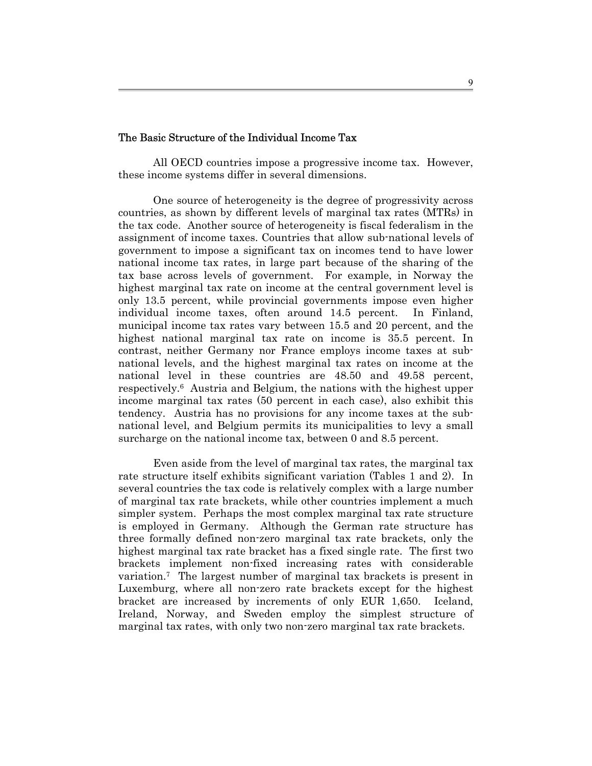#### The Basic Structure of the Individual Income Tax

 All OECD countries impose a progressive income tax. However, these income systems differ in several dimensions.

 One source of heterogeneity is the degree of progressivity across countries, as shown by different levels of marginal tax rates (MTRs) in the tax code. Another source of heterogeneity is fiscal federalism in the assignment of income taxes. Countries that allow sub-national levels of government to impose a significant tax on incomes tend to have lower national income tax rates, in large part because of the sharing of the tax base across levels of government. For example, in Norway the highest marginal tax rate on income at the central government level is only 13.5 percent, while provincial governments impose even higher individual income taxes, often around 14.5 percent. In Finland, municipal income tax rates vary between 15.5 and 20 percent, and the highest national marginal tax rate on income is 35.5 percent. In contrast, neither Germany nor France employs income taxes at subnational levels, and the highest marginal tax rates on income at the national level in these countries are 48.50 and 49.58 percent, respectively[.6](#page-35-5) Austria and Belgium, the nations with the highest upper income marginal tax rates (50 percent in each case), also exhibit this tendency. Austria has no provisions for any income taxes at the subnational level, and Belgium permits its municipalities to levy a small surcharge on the national income tax, between 0 and 8.5 percent.

 Even aside from the level of marginal tax rates, the marginal tax rate structure itself exhibits significant variation (Tables 1 and 2). In several countries the tax code is relatively complex with a large number of marginal tax rate brackets, while other countries implement a much simpler system. Perhaps the most complex marginal tax rate structure is employed in Germany. Although the German rate structure has three formally defined non-zero marginal tax rate brackets, only the highest marginal tax rate bracket has a fixed single rate. The first two brackets implement non-fixed increasing rates with considerable variation.[7](#page-35-6) The largest number of marginal tax brackets is present in Luxemburg, where all non-zero rate brackets except for the highest bracket are increased by increments of only EUR 1,650. Iceland, Ireland, Norway, and Sweden employ the simplest structure of marginal tax rates, with only two non-zero marginal tax rate brackets.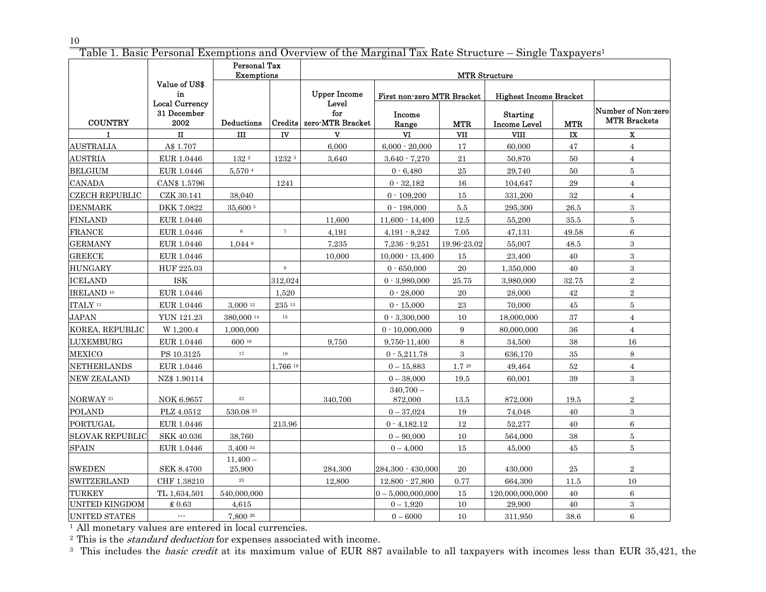<sup>10</sup><br>Table 1. Basic Personal Exemptions and Overview of the Marginal Tax Rate Structure – Single Taxpayers<sup>1</sup>

|                        |                                              | <b>Personal Tax</b><br><b>Exemptions</b> |          |                                  |                            | MTR Structure |                                        |                        |                                           |  |
|------------------------|----------------------------------------------|------------------------------------------|----------|----------------------------------|----------------------------|---------------|----------------------------------------|------------------------|-------------------------------------------|--|
|                        | Value of US\$<br>in                          |                                          |          | <b>Upper Income</b>              | First non-zero MTR Bracket |               | <b>Highest Income Bracket</b>          |                        |                                           |  |
| <b>COUNTRY</b>         | <b>Local Currency</b><br>31 December<br>2002 | Deductions                               | Credits  | Level<br>for<br>zero-MTR Bracket | Income<br>Range            | <b>MTR</b>    | <b>Starting</b><br><b>Income Level</b> | <b>MTR</b>             | Number of Non-zero<br><b>MTR Brackets</b> |  |
| т                      | п                                            | Ш                                        | IV       | $\mathbf{V}$                     | $\mathbf{V}$               | VII           | <b>VIII</b>                            | $\mathbf{I}\mathbf{X}$ | $\mathbf{x}$                              |  |
| <b>AUSTRALIA</b>       | A\$ 1.707                                    |                                          |          | 6,000                            | $6,000 - 20,000$           | 17            | 60,000                                 | 47                     | $\overline{4}$                            |  |
| <b>AUSTRIA</b>         | EUR 1.0446                                   | 132 2                                    | 1232 3   | 3,640                            | $3,640 - 7,270$            | 21            | 50,870                                 | 50                     | $\overline{4}$                            |  |
| <b>BELGIUM</b>         | EUR 1.0446                                   | 5,570 $4$                                |          |                                  | $0 - 6,480$                | 25            | 29,740                                 | 50                     | 5                                         |  |
| <b>CANADA</b>          | CAN\$ 1.5796                                 |                                          | 1241     |                                  | $0 - 32,182$               | 16            | 104,647                                | $\bf 29$               | $\overline{4}$                            |  |
| <b>CZECH REPUBLIC</b>  | CZK 30.141                                   | 38,040                                   |          |                                  | $0 - 109,200$              | 15            | 331,200                                | 32                     | $\overline{4}$                            |  |
| <b>DENMARK</b>         | DKK 7.0822                                   | 35,600 5                                 |          |                                  | $0 - 198,000$              | 5.5           | 295,300                                | 26.5                   | 3                                         |  |
| <b>FINLAND</b>         | EUR 1.0446                                   |                                          |          | 11,600                           | $11,600 - 14,400$          | 12.5          | 55,200                                 | 35.5                   | 5                                         |  |
| <b>FRANCE</b>          | EUR 1.0446                                   | $\,6\,$                                  | $\tau$   | 4,191                            | $4,191 - 8,242$            | 7.05          | 47,131                                 | 49.58                  | 6                                         |  |
| <b>GERMANY</b>         | EUR 1.0446                                   | $1,044$ $8$                              |          | 7,235                            | $7,236 - 9,251$            | 19.96-23.02   | 55,007                                 | 48.5                   | $\boldsymbol{3}$                          |  |
| <b>GREECE</b>          | EUR 1.0446                                   |                                          |          | 10,000                           | $10,000 - 13,400$          | 15            | 23,400                                 | 40                     | $\boldsymbol{3}$                          |  |
| <b>HUNGARY</b>         | HUF 225.03                                   |                                          | 9        |                                  | $0 - 650,000$              | 20            | 1,350,000                              | 40                     | 3                                         |  |
| <b>ICELAND</b>         | ISK                                          |                                          | 312,024  |                                  | $0 - 3,980,000$            | 25.75         | 3,980,000                              | 32.75                  | $\overline{2}$                            |  |
| IRELAND <sup>10</sup>  | EUR 1.0446                                   |                                          | 1,520    |                                  | $0 - 28,000$               | $20\,$        | 28,000                                 | 42                     | $\overline{2}$                            |  |
| ITALY <sup>11</sup>    | EUR 1.0446                                   | 3.000 12                                 | 235 13   |                                  | $0 - 15,000$               | 23            | 70.000                                 | $\bf 45$               | 5                                         |  |
| <b>JAPAN</b>           | <b>YUN 121.23</b>                            | 380.000 14                               | $15\,$   |                                  | $0 - 3,300,000$            | 10            | 18,000,000                             | 37                     | $\overline{4}$                            |  |
| KOREA, REPUBLIC        | W 1,200.4                                    | 1,000,000                                |          |                                  | $0 - 10,000,000$           | 9             | 80,000,000                             | $36\,$                 | $\overline{4}$                            |  |
| <b>LUXEMBURG</b>       | ${\rm EUR}$ 1.0446                           | 600 16                                   |          | 9,750                            | 9,750-11,400               | 8             | 34,500                                 | $38\,$                 | $16\,$                                    |  |
| <b>MEXICO</b>          | PS 10.3125                                   | 17                                       | 18       |                                  | $0 - 5,211.78$             | 3             | 636,170                                | $35\,$                 | 8                                         |  |
| NETHERLANDS            | EUR 1.0446                                   |                                          | 1.766 19 |                                  | $0 - 15,883$               | 1.720         | 49,464                                 | $52\,$                 | $\overline{4}$                            |  |
| NEW ZEALAND            | NZ\$ 1.90114                                 |                                          |          |                                  | $0 - 38,000$               | 19.5          | 60.001                                 | 39                     | 3                                         |  |
| NORWAY <sup>21</sup>   | NOK 6.9657                                   | 22                                       |          | 340,700                          | $340,700 -$<br>872,000     | 13.5          | 872,000                                | 19.5                   | $\overline{2}$                            |  |
| <b>POLAND</b>          | PLZ 4.0512                                   | 530.08 23                                |          |                                  | $0 - 37,024$               | $19\,$        | 74,048                                 | 40                     | 3                                         |  |
| PORTUGAL               | EUR 1.0446                                   |                                          | 213.96   |                                  | $0 - 4,182.12$             | 12            | 52,277                                 | 40                     | 6                                         |  |
| <b>SLOVAK REPUBLIC</b> | <b>SKK 40.036</b>                            | 38,760                                   |          |                                  | $0 - 90,000$               | 10            | 564,000                                | $38\,$                 | 5                                         |  |
| <b>SPAIN</b>           | EUR 1.0446                                   | 3,400 $^{24}$                            |          |                                  | $0 - 4,000$                | 15            | 45,000                                 | 45                     | 5                                         |  |
| <b>SWEDEN</b>          | <b>SEK 8.4700</b>                            | $11,400-$<br>25,900                      |          | 284,300                          | 284,300 - 430,000          | 20            | 430,000                                | 25                     | $\overline{2}$                            |  |
| SWITZERLAND            | CHF 1.38210                                  | $\bf 25$                                 |          | 12,800                           | $12,800 - 27,800$          | 0.77          | 664,300                                | 11.5                   | 10                                        |  |
| <b>TURKEY</b>          | TL 1,634,501                                 | 540,000,000                              |          |                                  | $0 - 5,000,000,000$        | 15            | 120.000.000.000                        | 40                     | 6                                         |  |
| UNITED KINGDOM         | \$0.63                                       | 4,615                                    |          |                                  | $0 - 1,920$                | $10\,$        | 29,900                                 | 40                     | 3                                         |  |
| <b>UNITED STATES</b>   | $\overline{a}$                               | 7.800 26                                 |          |                                  | $0 - 6000$                 | 10            | 311,950                                | 38.6                   | 6                                         |  |

1 All monetary values are entered in local currencies.

<sup>2</sup> This is the *standard deduction* for expenses associated with income.

<sup>3</sup> This includes the *basic credit* at its maximum value of EUR 887 available to all taxpayers with incomes less than EUR 35,421, the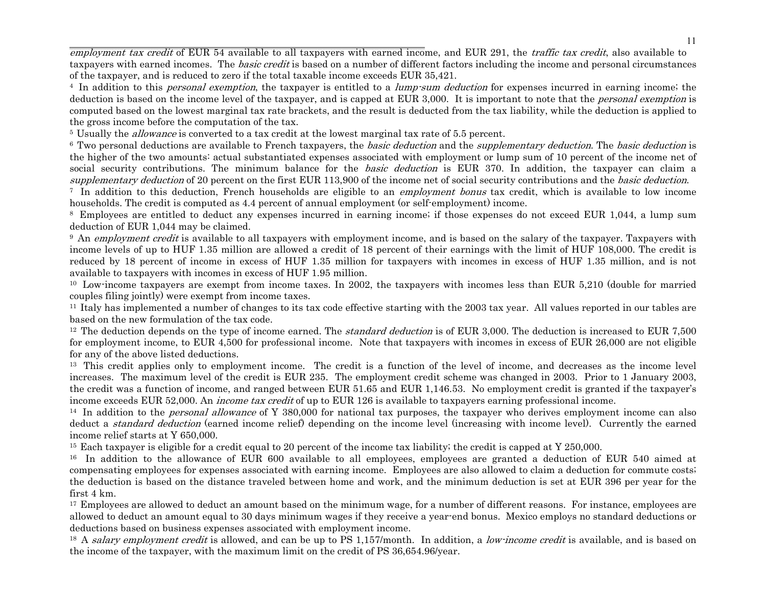employment tax credit of EUR 54 available to all taxpayers with earned income, and EUR 291, the traffic tax credit, also available to taxpayers with earned incomes. The *basic credit* is based on a number of different factors including the income and personal circumstances of the taxpayer, and is reduced to zero if the total taxable income exceeds EUR 35,421.

<sup>4</sup> In addition to this *personal exemption*, the taxpayer is entitled to a *lump-sum deduction* for expenses incurred in earning income; the deduction is based on the income level of the taxpayer, and is capped at EUR 3,000. It is important to note that the *personal exemption* is computed based on the lowest marginal tax rate brackets, and the result is deducted from the tax liability, while the deduction is applied to the gross income before the computation of the tax.

<sup>5</sup> Usually the *allowance* is converted to a tax credit at the lowest marginal tax rate of 5.5 percent.

<sup>6</sup> Two personal deductions are available to French taxpayers, the *basic deduction* and the *supplementary deduction*. The *basic deduction* is the higher of the two amounts: actual substantiated expenses associated with employment or lump sum of 10 percent of the income net of social security contributions. The minimum balance for the *basic deduction* is EUR 370. In addition, the taxpayer can claim a supplementary deduction of 20 percent on the first EUR 113,900 of the income net of social security contributions and the *basic deduction*.

<sup>7</sup> In addition to this deduction, French households are eligible to an *employment bonus* tax credit, which is available to low income households. The credit is computed as 4.4 percent of annual employment (or self-employment) income.

8 Employees are entitled to deduct any expenses incurred in earning income; if those expenses do not exceed EUR 1,044, a lump sum deduction of EUR 1,044 may be claimed.

<sup>9</sup> An *employment credit* is available to all taxpayers with employment income, and is based on the salary of the taxpayer. Taxpayers with income levels of up to HUF 1.35 million are allowed a credit of 18 percent of their earnings with the limit of HUF 108,000. The credit is reduced by 18 percent of income in excess of HUF 1.35 million for taxpayers with incomes in excess of HUF 1.35 million, and is not available to taxpayers with incomes in excess of HUF 1.95 million.

<sup>10</sup> Low-income taxpayers are exempt from income taxes. In 2002, the taxpayers with incomes less than EUR 5,210 (double for married couples filing jointly) were exempt from income taxes.

11 Italy has implemented a number of changes to its tax code effective starting with the 2003 tax year. All values reported in our tables are based on the new formulation of the tax code.

<sup>12</sup> The deduction depends on the type of income earned. The *standard deduction* is of EUR 3,000. The deduction is increased to EUR 7,500 for employment income, to EUR 4,500 for professional income. Note that taxpayers with incomes in excess of EUR 26,000 are not eligible for any of the above listed deductions.

<sup>13</sup> This credit applies only to employment income. The credit is a function of the level of income, and decreases as the income level increases. The maximum level of the credit is EUR 235. The employment credit scheme was changed in 2003. Prior to 1 January 2003, the credit was a function of income, and ranged between EUR 51.65 and EUR 1,146.53. No employment credit is granted if the taxpayer's income exceeds EUR 52,000. An *income tax credit* of up to EUR 126 is available to taxpayers earning professional income.

<sup>14</sup> In addition to the *personal allowance* of Y 380,000 for national tax purposes, the taxpayer who derives employment income can also deduct a *standard deduction* (earned income relief) depending on the income level (increasing with income level). Currently the earned income relief starts at Y 650,000.

<sup>15</sup> Each taxpayer is eligible for a credit equal to 20 percent of the income tax liability; the credit is capped at Y 250,000.

<sup>16</sup> In addition to the allowance of EUR 600 available to all employees, employees are granted a deduction of EUR 540 aimed at compensating employees for expenses associated with earning income. Employees are also allowed to claim a deduction for commute costs; the deduction is based on the distance traveled between home and work, and the minimum deduction is set at EUR 396 per year for the first 4 km.

<sup>17</sup> Employees are allowed to deduct an amount based on the minimum wage, for a number of different reasons. For instance, employees are allowed to deduct an amount equal to 30 days minimum wages if they receive a year-end bonus. Mexico employs no standard deductions or deductions based on business expenses associated with employment income.

<sup>18</sup> A salary employment credit is allowed, and can be up to PS 1,157/month. In addition, a low-income credit is available, and is based on the income of the taxpayer, with the maximum limit on the credit of PS 36,654.96/year.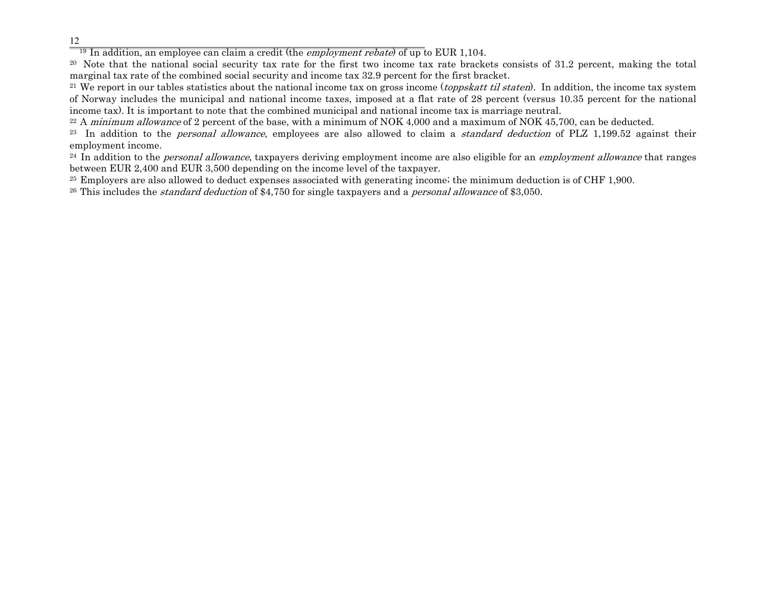<sup>19</sup> In addition, an employee can claim a credit (the *employment rebate*) of up to EUR 1,104.

20 Note that the national social security tax rate for the first two income tax rate brackets consists of 31.2 percent, making the total marginal tax rate of the combined social security and income tax 32.9 percent for the first bracket.

<sup>21</sup> We report in our tables statistics about the national income tax on gross income (*toppskatt til staten*). In addition, the income tax system of Norway includes the municipal and national income taxes, imposed at a flat rate of 28 percent (versus 10.35 percent for the national income tax). It is important to note that the combined municipal and national income tax is marriage neutral.

 $22$  A *minimum allowance* of 2 percent of the base, with a minimum of NOK 4,000 and a maximum of NOK 45,700, can be deducted.

<sup>23</sup> In addition to the *personal allowance*, employees are also allowed to claim a *standard deduction* of PLZ 1,199.52 against their employment income.

<sup>24</sup> In addition to the *personal allowance*, taxpayers deriving employment income are also eligible for an *employment allowance* that ranges between EUR 2,400 and EUR 3,500 depending on the income level of the taxpayer.

25 Employers are also allowed to deduct expenses associated with generating income; the minimum deduction is of CHF 1,900.

<sup>26</sup> This includes the *standard deduction* of \$4,750 for single taxpayers and a *personal allowance* of \$3,050.

12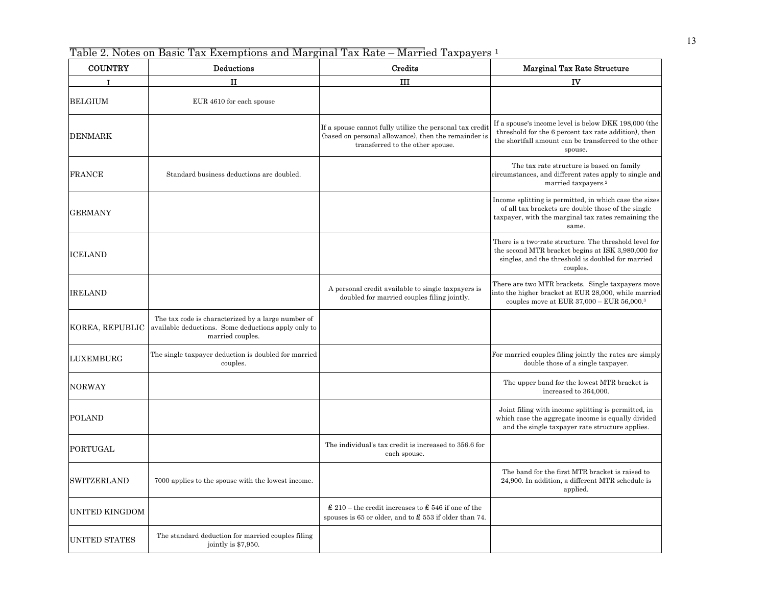Table 2. Notes on Basic Tax Exemptions and Marginal Tax Rate – Married Taxpayers 1

| <b>COUNTRY</b>       | Deductions                                                                                                                    | Credits                                                                                                                                              | <b>Marginal Tax Rate Structure</b>                                                                                                                                              |
|----------------------|-------------------------------------------------------------------------------------------------------------------------------|------------------------------------------------------------------------------------------------------------------------------------------------------|---------------------------------------------------------------------------------------------------------------------------------------------------------------------------------|
| $\mathbf{I}$         | п                                                                                                                             | ш                                                                                                                                                    | IV                                                                                                                                                                              |
| <b>BELGIUM</b>       | EUR 4610 for each spouse                                                                                                      |                                                                                                                                                      |                                                                                                                                                                                 |
| <b>DENMARK</b>       |                                                                                                                               | If a spouse cannot fully utilize the personal tax credit<br>(based on personal allowance), then the remainder is<br>transferred to the other spouse. | If a spouse's income level is below DKK 198,000 (the<br>threshold for the 6 percent tax rate addition), then<br>the shortfall amount can be transferred to the other<br>spouse. |
| <b>FRANCE</b>        | Standard business deductions are doubled.                                                                                     |                                                                                                                                                      | The tax rate structure is based on family<br>circumstances, and different rates apply to single and<br>married taxpayers. <sup>2</sup>                                          |
| GERMANY              |                                                                                                                               |                                                                                                                                                      | Income splitting is permitted, in which case the sizes<br>of all tax brackets are double those of the single<br>taxpayer, with the marginal tax rates remaining the<br>same.    |
| <b>ICELAND</b>       |                                                                                                                               |                                                                                                                                                      | There is a two-rate structure. The threshold level for<br>the second MTR bracket begins at ISK 3,980,000 for<br>singles, and the threshold is doubled for married<br>couples.   |
| <b>IRELAND</b>       |                                                                                                                               | A personal credit available to single taxpayers is<br>doubled for married couples filing jointly.                                                    | There are two MTR brackets. Single taxpayers move<br>into the higher bracket at EUR 28,000, while married<br>couples move at EUR $37,000 -$ EUR $56,000$ <sup>3</sup>           |
| KOREA, REPUBLIC      | The tax code is characterized by a large number of<br>available deductions. Some deductions apply only to<br>married couples. |                                                                                                                                                      |                                                                                                                                                                                 |
| <b>LUXEMBURG</b>     | The single taxpayer deduction is doubled for married<br>couples.                                                              |                                                                                                                                                      | For married couples filing jointly the rates are simply<br>double those of a single taxpayer.                                                                                   |
| <b>NORWAY</b>        |                                                                                                                               |                                                                                                                                                      | The upper band for the lowest MTR bracket is<br>increased to 364,000.                                                                                                           |
| <b>POLAND</b>        |                                                                                                                               |                                                                                                                                                      | Joint filing with income splitting is permitted, in<br>which case the aggregate income is equally divided<br>and the single taxpayer rate structure applies.                    |
| PORTUGAL             |                                                                                                                               | The individual's tax credit is increased to 356.6 for<br>each spouse.                                                                                |                                                                                                                                                                                 |
| SWITZERLAND          | 7000 applies to the spouse with the lowest income.                                                                            |                                                                                                                                                      | The band for the first MTR bracket is raised to<br>24,900. In addition, a different MTR schedule is<br>applied.                                                                 |
| UNITED KINGDOM       |                                                                                                                               | $\pounds$ 210 – the credit increases to $\pounds$ 546 if one of the<br>spouses is 65 or older, and to $\pounds$ 553 if older than 74.                |                                                                                                                                                                                 |
| <b>UNITED STATES</b> | The standard deduction for married couples filing<br>jointly is \$7,950.                                                      |                                                                                                                                                      |                                                                                                                                                                                 |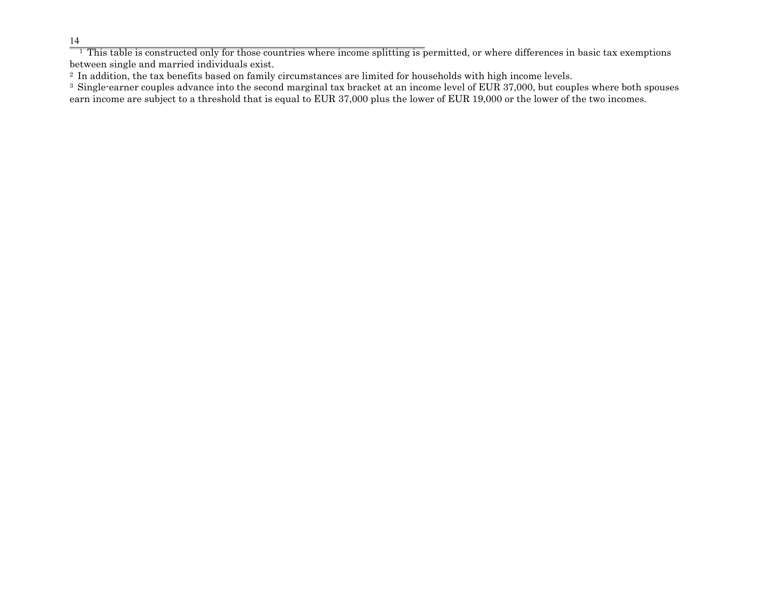$\frac{14}{1}$  This table is constructed only for those countries where income splitting is permitted, or where differences in basic tax exemptions between single and married individuals exist.

<sup>2</sup> In addition, the tax benefits based on family circumstances are limited for households with high income levels.

<sup>3</sup> Single-earner couples advance into the second marginal tax bracket at an income level of EUR 37,000, but couples where both spouses earn income are subject to a threshold that is equal to EUR 37,000 plus the lower of EUR 19,000 or the lower of the two incomes.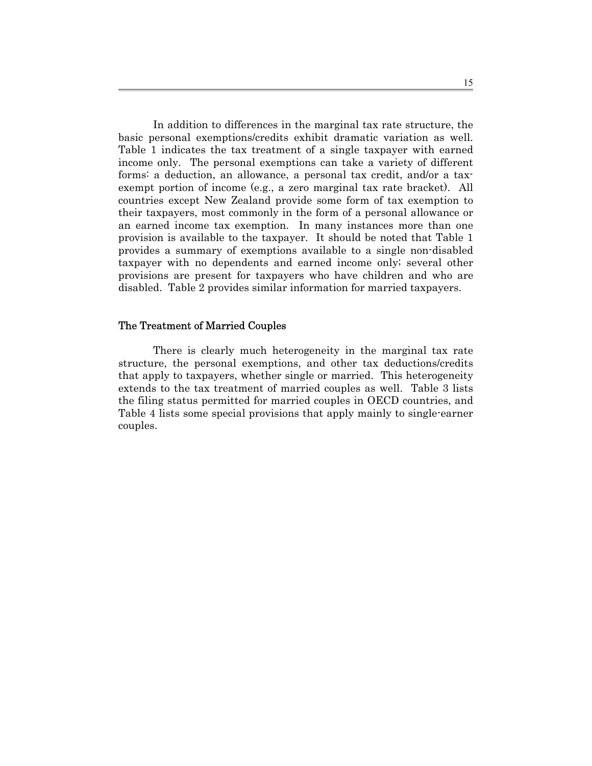In addition to differences in the marginal tax rate structure, the basic personal exemptions/credits exhibit dramatic variation as well. Table 1 indicates the tax treatment of a single taxpayer with earned income only. The personal exemptions can take a variety of different forms: a deduction, an allowance, a personal tax credit, and/or a taxexempt portion of income (e.g., a zero marginal tax rate bracket). All countries except New Zealand provide some form of tax exemption to their taxpayers, most commonly in the form of a personal allowance or an earned income tax exemption. In many instances more than one provision is available to the taxpayer. It should be noted that Table 1 provides a summary of exemptions available to a single non-disabled taxpayer with no dependents and earned income only; several other provisions are present for taxpayers who have children and who are disabled. Table 2 provides similar information for married taxpayers.

#### The Treatment of Married Couples

There is clearly much heterogeneity in the marginal tax rate structure, the personal exemptions, and other tax deductions/credits that apply to taxpayers, whether single or married. This heterogeneity extends to the tax treatment of married couples as well. Table 3 lists the filing status permitted for married couples in OECD countries, and Table 4 lists some special provisions that apply mainly to single-earner couples.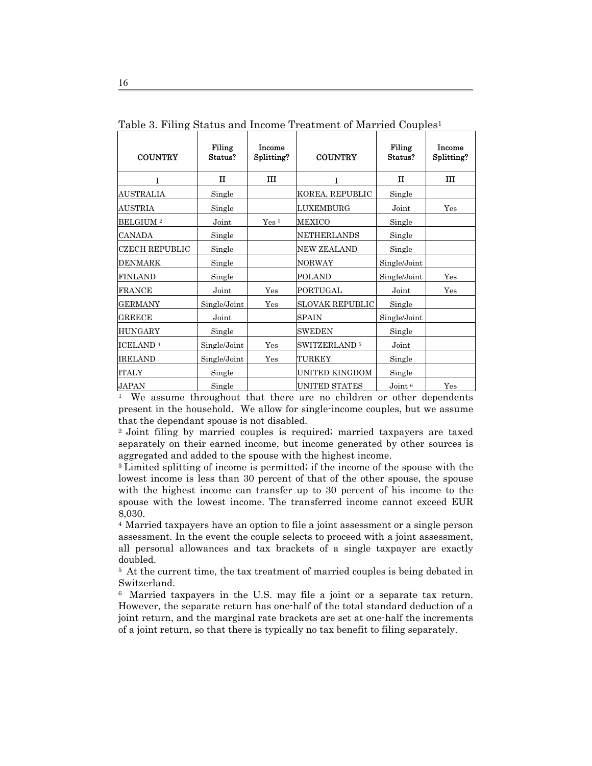| <b>COUNTRY</b>              | Filing<br>Status? | Income<br>Splitting? | <b>COUNTRY</b>                 | Filing<br>Status? | Income<br>Splitting? |
|-----------------------------|-------------------|----------------------|--------------------------------|-------------------|----------------------|
| T                           | $\mathbf{I}$      | ш                    | T                              | $\mathbf{I}$      | Ш                    |
| <b>AUSTRALIA</b>            | Single            |                      | KOREA, REPUBLIC                | Single            |                      |
| <b>AUSTRIA</b>              | Single            |                      | <b>LUXEMBURG</b>               | Joint             | Yes                  |
| <b>BELGIUM</b> <sup>2</sup> | Joint             | Yes <sup>3</sup>     | <b>MEXICO</b>                  | Single            |                      |
| <b>CANADA</b>               | Single            |                      | <b>NETHERLANDS</b>             | Single            |                      |
| <b>CZECH REPUBLIC</b>       | Single            |                      | <b>NEW ZEALAND</b>             | Single            |                      |
| <b>DENMARK</b>              | Single            |                      | <b>NORWAY</b>                  | Single/Joint      |                      |
| <b>FINLAND</b>              | Single            |                      | <b>POLAND</b>                  | Single/Joint      | Yes                  |
| <b>FRANCE</b>               | Joint             | Yes                  | PORTUGAL                       | Joint             | Yes                  |
| <b>GERMANY</b>              | Single/Joint      | Yes                  | <b>SLOVAK REPUBLIC</b>         | Single            |                      |
| <b>GREECE</b>               | Joint             |                      | <b>SPAIN</b>                   | Single/Joint      |                      |
| <b>HUNGARY</b>              | Single            |                      | <b>SWEDEN</b>                  | Single            |                      |
| ICELAND <sup>4</sup>        | Single/Joint      | Yes                  | <b>SWITZERLAND<sup>5</sup></b> | Joint             |                      |
| <b>IRELAND</b>              | Single/Joint      | Yes                  | TURKEY                         | Single            |                      |
| <b>ITALY</b>                | Single            |                      | UNITED KINGDOM                 | Single            |                      |
| <b>JAPAN</b>                | Single            |                      | UNITED STATES                  | Join <sub>6</sub> | Yes                  |

Table 3. Filing Status and Income Treatment of Married Couples<sup>1</sup>

<sup>1</sup> We assume throughout that there are no children or other dependents present in the household. We allow for single-income couples, but we assume that the dependant spouse is not disabled.

2 Joint filing by married couples is required; married taxpayers are taxed separately on their earned income, but income generated by other sources is aggregated and added to the spouse with the highest income.

3 Limited splitting of income is permitted; if the income of the spouse with the lowest income is less than 30 percent of that of the other spouse, the spouse with the highest income can transfer up to 30 percent of his income to the spouse with the lowest income. The transferred income cannot exceed EUR 8,030.

4 Married taxpayers have an option to file a joint assessment or a single person assessment. In the event the couple selects to proceed with a joint assessment, all personal allowances and tax brackets of a single taxpayer are exactly doubled.

<sup>5</sup> At the current time, the tax treatment of married couples is being debated in Switzerland.

6 Married taxpayers in the U.S. may file a joint or a separate tax return. However, the separate return has one-half of the total standard deduction of a joint return, and the marginal rate brackets are set at one-half the increments of a joint return, so that there is typically no tax benefit to filing separately.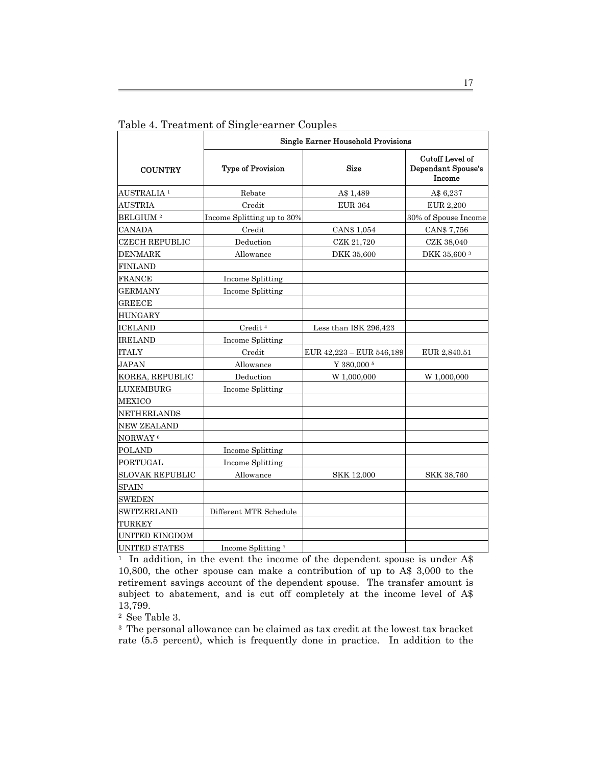|                        | <b>Single Earner Household Provisions</b> |                          |                                                 |  |  |  |  |  |
|------------------------|-------------------------------------------|--------------------------|-------------------------------------------------|--|--|--|--|--|
| <b>COUNTRY</b>         | Type of Provision                         | <b>Size</b>              | Cutoff Level of<br>Dependant Spouse's<br>Income |  |  |  |  |  |
| AUSTRALIA <sup>1</sup> | Rebate                                    | A\$ 1,489                | A\$ 6,237                                       |  |  |  |  |  |
| <b>AUSTRIA</b>         | Credit                                    | <b>EUR 364</b>           | <b>EUR 2,200</b>                                |  |  |  |  |  |
| BELGIUM <sup>2</sup>   | Income Splitting up to 30%                |                          | 30% of Spouse Income                            |  |  |  |  |  |
| <b>CANADA</b>          | Credit                                    | CAN\$ 1,054              | CAN\$ 7,756                                     |  |  |  |  |  |
| <b>CZECH REPUBLIC</b>  | Deduction                                 | CZK 21,720               | CZK 38,040                                      |  |  |  |  |  |
| <b>DENMARK</b>         | Allowance                                 | DKK 35,600               | DKK 35,600 3                                    |  |  |  |  |  |
| <b>FINLAND</b>         |                                           |                          |                                                 |  |  |  |  |  |
| FRANCE                 | Income Splitting                          |                          |                                                 |  |  |  |  |  |
| <b>GERMANY</b>         | Income Splitting                          |                          |                                                 |  |  |  |  |  |
| <b>GREECE</b>          |                                           |                          |                                                 |  |  |  |  |  |
| <b>HUNGARY</b>         |                                           |                          |                                                 |  |  |  |  |  |
| <b>ICELAND</b>         | Credit $^4$                               | Less than ISK 296,423    |                                                 |  |  |  |  |  |
| <b>IRELAND</b>         | Income Splitting                          |                          |                                                 |  |  |  |  |  |
| <b>ITALY</b>           | Credit                                    | EUR 42,223 - EUR 546,189 | EUR 2,840.51                                    |  |  |  |  |  |
| <b>JAPAN</b>           | Allowance                                 | Y 380,000 <sup>5</sup>   |                                                 |  |  |  |  |  |
| KOREA, REPUBLIC        | Deduction                                 | W 1,000,000              | W 1,000,000                                     |  |  |  |  |  |
| LUXEMBURG              | Income Splitting                          |                          |                                                 |  |  |  |  |  |
| <b>MEXICO</b>          |                                           |                          |                                                 |  |  |  |  |  |
| <b>NETHERLANDS</b>     |                                           |                          |                                                 |  |  |  |  |  |
| <b>NEW ZEALAND</b>     |                                           |                          |                                                 |  |  |  |  |  |
| NORWAY <sup>6</sup>    |                                           |                          |                                                 |  |  |  |  |  |
| <b>POLAND</b>          | Income Splitting                          |                          |                                                 |  |  |  |  |  |
| <b>PORTUGAL</b>        | Income Splitting                          |                          |                                                 |  |  |  |  |  |
| <b>SLOVAK REPUBLIC</b> | Allowance                                 | <b>SKK 12,000</b>        | <b>SKK 38,760</b>                               |  |  |  |  |  |
| <b>SPAIN</b>           |                                           |                          |                                                 |  |  |  |  |  |
| SWEDEN                 |                                           |                          |                                                 |  |  |  |  |  |
| SWITZERLAND            | Different MTR Schedule                    |                          |                                                 |  |  |  |  |  |
| <b>TURKEY</b>          |                                           |                          |                                                 |  |  |  |  |  |
| <b>UNITED KINGDOM</b>  |                                           |                          |                                                 |  |  |  |  |  |
| <b>UNITED STATES</b>   | Income Splitting <sup>7</sup>             |                          |                                                 |  |  |  |  |  |

Table 4. Treatment of Single-earner Couples

1 In addition, in the event the income of the dependent spouse is under A\$ 10,800, the other spouse can make a contribution of up to A\$ 3,000 to the retirement savings account of the dependent spouse. The transfer amount is subject to abatement, and is cut off completely at the income level of A\$ 13,799.

2 See Table 3.

3 The personal allowance can be claimed as tax credit at the lowest tax bracket rate (5.5 percent), which is frequently done in practice. In addition to the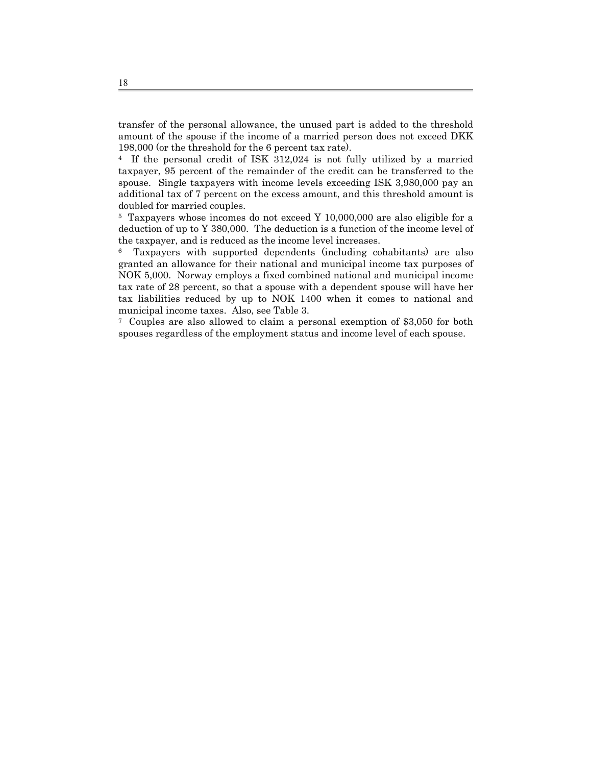transfer of the personal allowance, the unused part is added to the threshold amount of the spouse if the income of a married person does not exceed DKK 198,000 (or the threshold for the 6 percent tax rate).

4 If the personal credit of ISK 312,024 is not fully utilized by a married taxpayer, 95 percent of the remainder of the credit can be transferred to the spouse. Single taxpayers with income levels exceeding ISK 3,980,000 pay an additional tax of 7 percent on the excess amount, and this threshold amount is doubled for married couples.

5 Taxpayers whose incomes do not exceed Y 10,000,000 are also eligible for a deduction of up to Y 380,000. The deduction is a function of the income level of the taxpayer, and is reduced as the income level increases.

6 Taxpayers with supported dependents (including cohabitants) are also granted an allowance for their national and municipal income tax purposes of NOK 5,000. Norway employs a fixed combined national and municipal income tax rate of 28 percent, so that a spouse with a dependent spouse will have her tax liabilities reduced by up to NOK 1400 when it comes to national and municipal income taxes. Also, see Table 3.

7 Couples are also allowed to claim a personal exemption of \$3,050 for both spouses regardless of the employment status and income level of each spouse.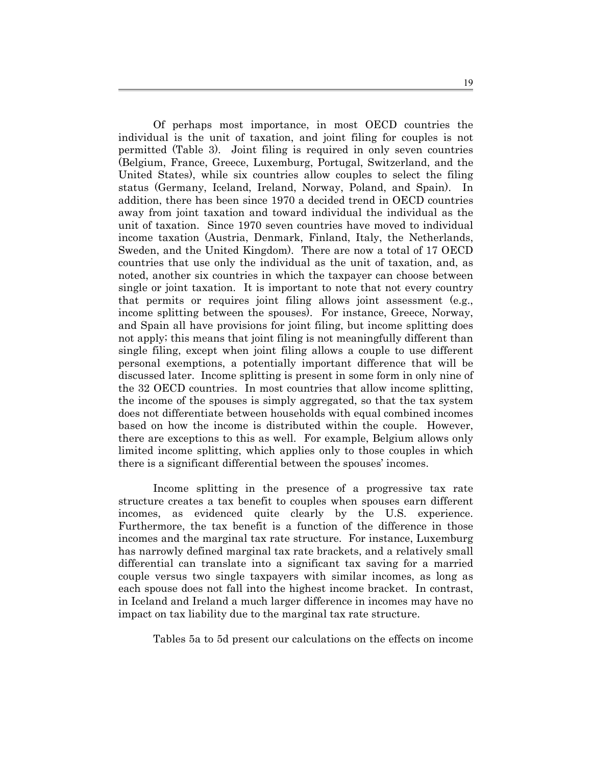Of perhaps most importance, in most OECD countries the individual is the unit of taxation, and joint filing for couples is not permitted (Table 3). Joint filing is required in only seven countries (Belgium, France, Greece, Luxemburg, Portugal, Switzerland, and the United States), while six countries allow couples to select the filing status (Germany, Iceland, Ireland, Norway, Poland, and Spain). In addition, there has been since 1970 a decided trend in OECD countries away from joint taxation and toward individual the individual as the unit of taxation. Since 1970 seven countries have moved to individual income taxation (Austria, Denmark, Finland, Italy, the Netherlands, Sweden, and the United Kingdom). There are now a total of 17 OECD countries that use only the individual as the unit of taxation, and, as noted, another six countries in which the taxpayer can choose between single or joint taxation. It is important to note that not every country that permits or requires joint filing allows joint assessment (e.g., income splitting between the spouses). For instance, Greece, Norway, and Spain all have provisions for joint filing, but income splitting does not apply; this means that joint filing is not meaningfully different than single filing, except when joint filing allows a couple to use different personal exemptions, a potentially important difference that will be discussed later. Income splitting is present in some form in only nine of the 32 OECD countries. In most countries that allow income splitting, the income of the spouses is simply aggregated, so that the tax system does not differentiate between households with equal combined incomes based on how the income is distributed within the couple. However, there are exceptions to this as well. For example, Belgium allows only limited income splitting, which applies only to those couples in which there is a significant differential between the spouses' incomes.

Income splitting in the presence of a progressive tax rate structure creates a tax benefit to couples when spouses earn different incomes, as evidenced quite clearly by the U.S. experience. Furthermore, the tax benefit is a function of the difference in those incomes and the marginal tax rate structure. For instance, Luxemburg has narrowly defined marginal tax rate brackets, and a relatively small differential can translate into a significant tax saving for a married couple versus two single taxpayers with similar incomes, as long as each spouse does not fall into the highest income bracket. In contrast, in Iceland and Ireland a much larger difference in incomes may have no impact on tax liability due to the marginal tax rate structure.

Tables 5a to 5d present our calculations on the effects on income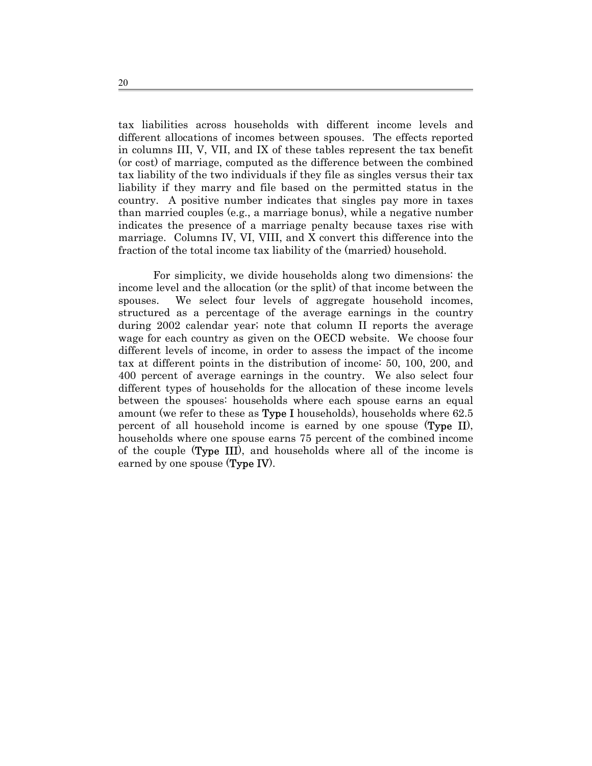tax liabilities across households with different income levels and different allocations of incomes between spouses. The effects reported in columns III, V, VII, and IX of these tables represent the tax benefit (or cost) of marriage, computed as the difference between the combined tax liability of the two individuals if they file as singles versus their tax liability if they marry and file based on the permitted status in the country. A positive number indicates that singles pay more in taxes than married couples (e.g., a marriage bonus), while a negative number indicates the presence of a marriage penalty because taxes rise with marriage. Columns IV, VI, VIII, and X convert this difference into the fraction of the total income tax liability of the (married) household.

For simplicity, we divide households along two dimensions: the income level and the allocation (or the split) of that income between the spouses. We select four levels of aggregate household incomes, structured as a percentage of the average earnings in the country during 2002 calendar year; note that column II reports the average wage for each country as given on the OECD website. We choose four different levels of income, in order to assess the impact of the income tax at different points in the distribution of income: 50, 100, 200, and 400 percent of average earnings in the country. We also select four different types of households for the allocation of these income levels between the spouses: households where each spouse earns an equal amount (we refer to these as **Type I** households), households where 62.5 percent of all household income is earned by one spouse (Type II), households where one spouse earns 75 percent of the combined income of the couple (Type III), and households where all of the income is earned by one spouse (**Type IV**).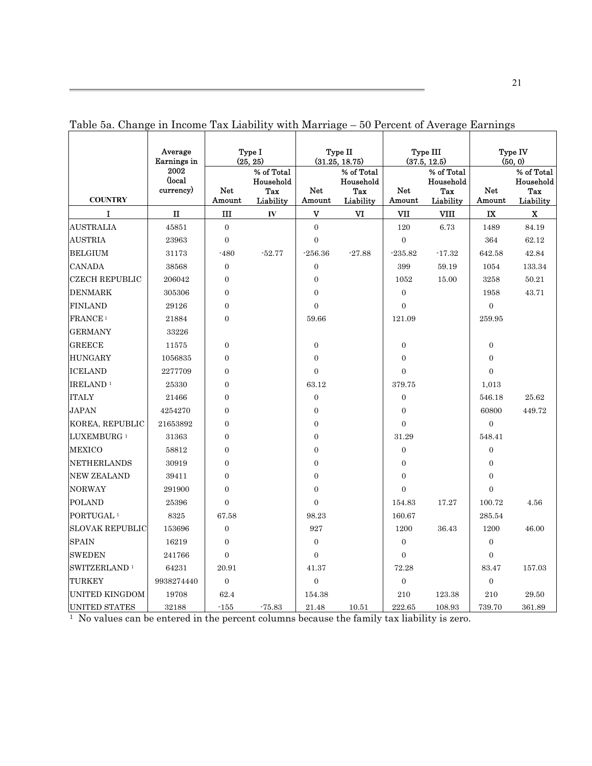|                          | Average<br>Earnings in<br>2002 |                  | Type I<br>(25, 25)                          |                         | Type II<br>(31.25, 18.75)                   |                      | Type III<br>(37.5, 12.5)                    |                      | Type IV<br>(50, 0)                          |
|--------------------------|--------------------------------|------------------|---------------------------------------------|-------------------------|---------------------------------------------|----------------------|---------------------------------------------|----------------------|---------------------------------------------|
| <b>COUNTRY</b>           | (local<br>currency)            | Net<br>Amount    | % of Total<br>Household<br>Tax<br>Liability | Net<br>Amount           | % of Total<br>Household<br>Tax<br>Liability | <b>Net</b><br>Amount | % of Total<br>Household<br>Tax<br>Liability | <b>Net</b><br>Amount | % of Total<br>Household<br>Tax<br>Liability |
| I                        | п                              | Ш                | IV                                          | $\overline{\mathbf{V}}$ | V <sub>I</sub>                              | VII                  | VIII                                        | $\mathbf{I}$         | X                                           |
| <b>AUSTRALIA</b>         | 45851                          | $\overline{0}$   |                                             | $\overline{0}$          |                                             | 120                  | 6.73                                        | 1489                 | 84.19                                       |
| <b>AUSTRIA</b>           | 23963                          | $\overline{0}$   |                                             | $\overline{0}$          |                                             | $\overline{0}$       |                                             | 364                  | 62.12                                       |
| <b>BELGIUM</b>           | 31173                          | $-480$           | $-52.77$                                    | $-256.36$               | $-27.88$                                    | $-235.82$            | $-17.32$                                    | 642.58               | 42.84                                       |
| <b>CANADA</b>            | 38568                          | $\boldsymbol{0}$ |                                             | $\mathbf{0}$            |                                             | 399                  | 59.19                                       | 1054                 | 133.34                                      |
| <b>CZECH REPUBLIC</b>    | 206042                         | $\overline{0}$   |                                             | $\overline{0}$          |                                             | 1052                 | 15.00                                       | 3258                 | 50.21                                       |
| <b>DENMARK</b>           | 305306                         | $\boldsymbol{0}$ |                                             | $\mathbf{0}$            |                                             | $\boldsymbol{0}$     |                                             | 1958                 | 43.71                                       |
| <b>FINLAND</b>           | 29126                          | $\boldsymbol{0}$ |                                             | $\overline{0}$          |                                             | $\overline{0}$       |                                             | $\overline{0}$       |                                             |
| FRANCE <sup>1</sup>      | 21884                          | $\overline{0}$   |                                             | 59.66                   |                                             | 121.09               |                                             | 259.95               |                                             |
| <b>GERMANY</b>           | 33226                          |                  |                                             |                         |                                             |                      |                                             |                      |                                             |
| <b>GREECE</b>            | 11575                          | $\boldsymbol{0}$ |                                             | $\mathbf{0}$            |                                             | $\boldsymbol{0}$     |                                             | $\mathbf{0}$         |                                             |
| <b>HUNGARY</b>           | 1056835                        | $\boldsymbol{0}$ |                                             | $\mathbf{0}$            |                                             | $\boldsymbol{0}$     |                                             | $\boldsymbol{0}$     |                                             |
| <b>ICELAND</b>           | 2277709                        | $\boldsymbol{0}$ |                                             | $\overline{0}$          |                                             | $\overline{0}$       |                                             | $\overline{0}$       |                                             |
| IRELAND <sup>1</sup>     | 25330                          | $\mathbf{0}$     |                                             | 63.12                   |                                             | 379.75               |                                             | 1,013                |                                             |
| <b>ITALY</b>             | 21466                          | $\overline{0}$   |                                             | $\overline{0}$          |                                             | $\boldsymbol{0}$     |                                             | 546.18               | 25.62                                       |
| <b>JAPAN</b>             | 4254270                        | $\overline{0}$   |                                             | $\overline{0}$          |                                             | $\overline{0}$       |                                             | 60800                | 449.72                                      |
| KOREA, REPUBLIC          | 21653892                       | $\overline{0}$   |                                             | $\overline{0}$          |                                             | $\Omega$             |                                             | $\theta$             |                                             |
| LUXEMBURG <sup>1</sup>   | 31363                          | $\overline{0}$   |                                             | $\overline{0}$          |                                             | 31.29                |                                             | 548.41               |                                             |
| <b>MEXICO</b>            | 58812                          | $\boldsymbol{0}$ |                                             | $\mathbf{0}$            |                                             | $\boldsymbol{0}$     |                                             | $\mathbf{0}$         |                                             |
| <b>NETHERLANDS</b>       | 30919                          | $\boldsymbol{0}$ |                                             | $\mathbf{0}$            |                                             | $\overline{0}$       |                                             | $\overline{0}$       |                                             |
| <b>NEW ZEALAND</b>       | 39411                          | $\overline{0}$   |                                             | $\overline{0}$          |                                             | $\overline{0}$       |                                             | $\overline{0}$       |                                             |
| <b>NORWAY</b>            | 291900                         | $\boldsymbol{0}$ |                                             | $\overline{0}$          |                                             | $\overline{0}$       |                                             | $\overline{0}$       |                                             |
| POLAND                   | 25396                          | $\overline{0}$   |                                             | $\overline{0}$          |                                             | 154.83               | 17.27                                       | 100.72               | 4.56                                        |
| PORTUGAL <sup>1</sup>    | 8325                           | 67.58            |                                             | 98.23                   |                                             | 160.67               |                                             | 285.54               |                                             |
| <b>SLOVAK REPUBLIC</b>   | 153696                         | $\overline{0}$   |                                             | 927                     |                                             | 1200                 | 36.43                                       | 1200                 | 46.00                                       |
| <b>SPAIN</b>             | 16219                          | $\mathbf{0}$     |                                             | $\overline{0}$          |                                             | $\boldsymbol{0}$     |                                             | $\mathbf{0}$         |                                             |
| <b>SWEDEN</b>            | 241766                         | $\overline{0}$   |                                             | $\overline{0}$          |                                             | $\overline{0}$       |                                             | $\overline{0}$       |                                             |
| SWITZERLAND <sup>1</sup> | 64231                          | 20.91            |                                             | 41.37                   |                                             | 72.28                |                                             | 83.47                | 157.03                                      |
| TURKEY                   | 9938274440                     | $\overline{0}$   |                                             | $\overline{0}$          |                                             | $\overline{0}$       |                                             | $\overline{0}$       |                                             |
| UNITED KINGDOM           | 19708                          | 62.4             |                                             | 154.38                  |                                             | 210                  | 123.38                                      | 210                  | 29.50                                       |
| UNITED STATES            | 32188                          | $-155$           | $-75.83$                                    | 21.48                   | 10.51                                       | 222.65               | 108.93                                      | 739.70               | 361.89                                      |

Table 5a. Change in Income Tax Liability with Marriage – 50 Percent of Average Earnings

1 No values can be entered in the percent columns because the family tax liability is zero.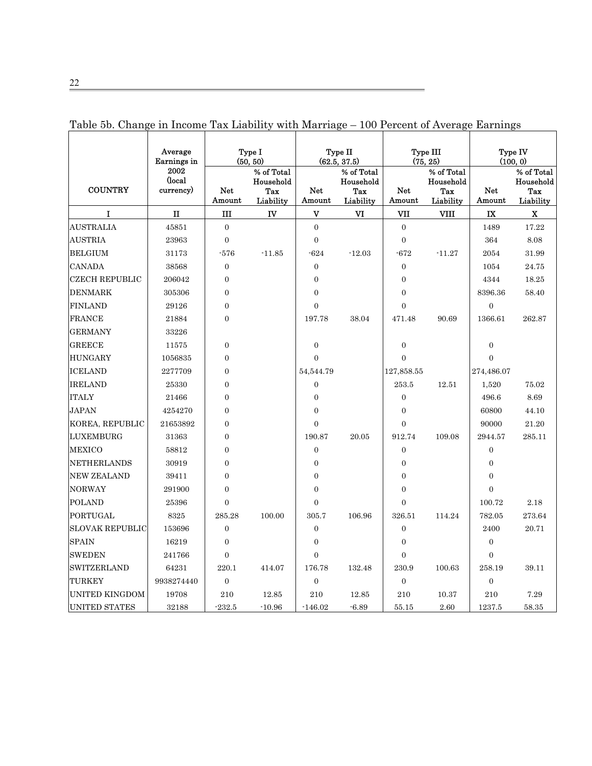| <b>COUNTRY</b>         | Average<br>Earnings in<br>2002<br>(local<br>currency) | Net              | Type I<br>(50, 50)<br>% of Total<br>Household<br>Tax | Net                     | Type II<br>(62.5, 37.5)<br>% of Total<br>Household<br>Tax | <b>Net</b>       | Type III<br>(75, 25)<br>% of Total<br>Household<br>Tax | <b>Net</b>              | Type IV<br>(100, 0)<br>% of Total<br>Household<br>Tax |
|------------------------|-------------------------------------------------------|------------------|------------------------------------------------------|-------------------------|-----------------------------------------------------------|------------------|--------------------------------------------------------|-------------------------|-------------------------------------------------------|
|                        |                                                       | Amount           | Liability                                            | Amount                  | Liability                                                 | Amount           | Liability                                              | Amount                  | Liability                                             |
| I                      | п                                                     | Ш                | IV                                                   | $\overline{\mathbf{V}}$ | VI                                                        | VII              | <b>VIII</b>                                            | $\overline{\mathbf{X}}$ | $\mathbf x$                                           |
| <b>AUSTRALIA</b>       | 45851                                                 | $\overline{0}$   |                                                      | $\overline{0}$          |                                                           | $\boldsymbol{0}$ |                                                        | 1489                    | 17.22                                                 |
| <b>AUSTRIA</b>         | 23963                                                 | $\overline{0}$   |                                                      | $\overline{0}$          |                                                           | $\overline{0}$   |                                                        | 364                     | 8.08                                                  |
| <b>BELGIUM</b>         | 31173                                                 | $-576$           | $-11.85$                                             | $-624$                  | $-12.03$                                                  | $-672$           | $-11.27$                                               | 2054                    | 31.99                                                 |
| <b>CANADA</b>          | 38568                                                 | $\overline{0}$   |                                                      | $\overline{0}$          |                                                           | $\overline{0}$   |                                                        | 1054                    | 24.75                                                 |
| <b>CZECH REPUBLIC</b>  | 206042                                                | $\overline{0}$   |                                                      | $\Omega$                |                                                           | $\theta$         |                                                        | 4344                    | 18.25                                                 |
| <b>DENMARK</b>         | 305306                                                | $\mathbf{0}$     |                                                      | $\boldsymbol{0}$        |                                                           | $\boldsymbol{0}$ |                                                        | 8396.36                 | 58.40                                                 |
| <b>FINLAND</b>         | 29126                                                 | $\boldsymbol{0}$ |                                                      | $\overline{0}$          |                                                           | $\overline{0}$   |                                                        | $\boldsymbol{0}$        |                                                       |
| <b>FRANCE</b>          | 21884                                                 | $\overline{0}$   |                                                      | 197.78                  | 38.04                                                     | 471.48           | 90.69                                                  | 1366.61                 | 262.87                                                |
| <b>GERMANY</b>         | 33226                                                 |                  |                                                      |                         |                                                           |                  |                                                        |                         |                                                       |
| <b>GREECE</b>          | 11575                                                 | $\overline{0}$   |                                                      | $\overline{0}$          |                                                           | $\overline{0}$   |                                                        | $\overline{0}$          |                                                       |
| <b>HUNGARY</b>         | 1056835                                               | $\boldsymbol{0}$ |                                                      | $\overline{0}$          |                                                           | $\overline{0}$   |                                                        | $\overline{0}$          |                                                       |
| <b>ICELAND</b>         | 2277709                                               | $\overline{0}$   |                                                      | 54,544.79               |                                                           | 127,858.55       |                                                        | 274,486.07              |                                                       |
| <b>IRELAND</b>         | 25330                                                 | $\mathbf{0}$     |                                                      | $\overline{0}$          |                                                           | 253.5            | 12.51                                                  | 1,520                   | 75.02                                                 |
| <b>ITALY</b>           | 21466                                                 | $\overline{0}$   |                                                      | $\overline{0}$          |                                                           | $\overline{0}$   |                                                        | 496.6                   | 8.69                                                  |
| <b>JAPAN</b>           | 4254270                                               | $\overline{0}$   |                                                      | $\overline{0}$          |                                                           | $\overline{0}$   |                                                        | 60800                   | 44.10                                                 |
| KOREA, REPUBLIC        | 21653892                                              | $\mathbf{0}$     |                                                      | $\Omega$                |                                                           | $\theta$         |                                                        | 90000                   | 21.20                                                 |
| LUXEMBURG              | 31363                                                 | $\overline{0}$   |                                                      | 190.87                  | 20.05                                                     | 912.74           | 109.08                                                 | 2944.57                 | 285.11                                                |
| <b>MEXICO</b>          | 58812                                                 | $\overline{0}$   |                                                      | $\overline{0}$          |                                                           | $\boldsymbol{0}$ |                                                        | $\boldsymbol{0}$        |                                                       |
| NETHERLANDS            | 30919                                                 | $\overline{0}$   |                                                      | $\mathbf{0}$            |                                                           | $\overline{0}$   |                                                        | $\overline{0}$          |                                                       |
| <b>NEW ZEALAND</b>     | 39411                                                 | $\overline{0}$   |                                                      | $\overline{0}$          |                                                           | $\theta$         |                                                        | $\overline{0}$          |                                                       |
| <b>NORWAY</b>          | 291900                                                | $\mathbf{0}$     |                                                      | $\boldsymbol{0}$        |                                                           | $\theta$         |                                                        | $\boldsymbol{0}$        |                                                       |
| <b>POLAND</b>          | 25396                                                 | $\overline{0}$   |                                                      | $\overline{0}$          |                                                           | $\overline{0}$   |                                                        | 100.72                  | 2.18                                                  |
| PORTUGAL               | 8325                                                  | 285.28           | 100.00                                               | 305.7                   | 106.96                                                    | 326.51           | 114.24                                                 | 782.05                  | 273.64                                                |
| <b>SLOVAK REPUBLIC</b> | 153696                                                | $\overline{0}$   |                                                      | $\overline{0}$          |                                                           | $\boldsymbol{0}$ |                                                        | 2400                    | 20.71                                                 |
| <b>SPAIN</b>           | 16219                                                 | $\overline{0}$   |                                                      | $\overline{0}$          |                                                           | $\overline{0}$   |                                                        | $\overline{0}$          |                                                       |
| <b>SWEDEN</b>          | 241766                                                | $\overline{0}$   |                                                      | $\Omega$                |                                                           | $\overline{0}$   |                                                        | $\overline{0}$          |                                                       |
| SWITZERLAND            | 64231                                                 | 220.1            | 414.07                                               | 176.78                  | 132.48                                                    | 230.9            | 100.63                                                 | 258.19                  | 39.11                                                 |
| TURKEY                 | 9938274440                                            | $\overline{0}$   |                                                      | $\overline{0}$          |                                                           | $\boldsymbol{0}$ |                                                        | $\overline{0}$          |                                                       |
| <b>UNITED KINGDOM</b>  | 19708                                                 | 210              | 12.85                                                | 210                     | 12.85                                                     | 210              | 10.37                                                  | 210                     | 7.29                                                  |
| <b>UNITED STATES</b>   | 32188                                                 | $-232.5$         | $-10.96$                                             | $-146.02$               | $-6.89$                                                   | 55.15            | 2.60                                                   | 1237.5                  | 58.35                                                 |

Table 5b. Change in Income Tax Liability with Marriage – 100 Percent of Average Earnings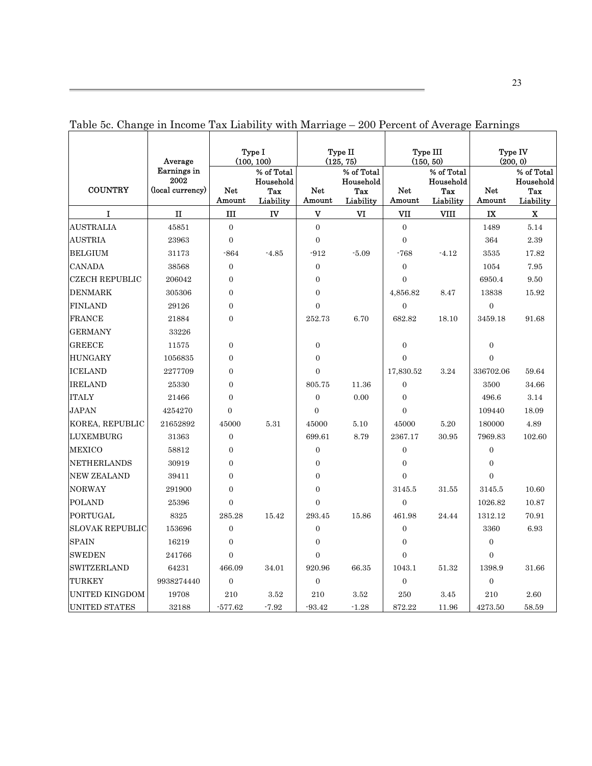|                        | е ні пісопіс тах шарнісу<br>Average     |                  | Type I<br>(100, 100)                        | $v$ - $v_1$ $u_2$ $u_3$ | Type II<br>(125, 75)                        |                      | $200$ I creent of <i>I</i> verage Lamings<br>Type III<br>(150, 50) |                      | Type IV<br>(200, 0)                         |
|------------------------|-----------------------------------------|------------------|---------------------------------------------|-------------------------|---------------------------------------------|----------------------|--------------------------------------------------------------------|----------------------|---------------------------------------------|
| <b>COUNTRY</b>         | Earnings in<br>2002<br>(local currency) | Net<br>Amount    | % of Total<br>Household<br>Tax<br>Liability | <b>Net</b><br>Amount    | % of Total<br>Household<br>Tax<br>Liability | <b>Net</b><br>Amount | % of Total<br>Household<br>Tax<br>Liability                        | <b>Net</b><br>Amount | % of Total<br>Household<br>Tax<br>Liability |
| $\mathbf I$            | $\mathbf{I}$                            | $\rm III$        | IV                                          | $\mathbf{V}$            | VI                                          | VII                  | <b>VIII</b>                                                        | IX                   | $\mathbf x$                                 |
| <b>AUSTRALIA</b>       | 45851                                   | $\overline{0}$   |                                             | $\overline{0}$          |                                             | $\overline{0}$       |                                                                    | 1489                 | 5.14                                        |
| <b>AUSTRIA</b>         | 23963                                   | $\overline{0}$   |                                             | $\overline{0}$          |                                             | $\overline{0}$       |                                                                    | 364                  | $2.39\,$                                    |
| <b>BELGIUM</b>         | 31173                                   | $-864$           | $-4.85$                                     | $-912$                  | $-5.09$                                     | $-768$               | $-4.12$                                                            | 3535                 | 17.82                                       |
| <b>CANADA</b>          | 38568                                   | $\overline{0}$   |                                             | $\overline{0}$          |                                             | $\overline{0}$       |                                                                    | 1054                 | 7.95                                        |
| <b>CZECH REPUBLIC</b>  | 206042                                  | $\overline{0}$   |                                             | $\boldsymbol{0}$        |                                             | $\overline{0}$       |                                                                    | 6950.4               | 9.50                                        |
| <b>DENMARK</b>         | 305306                                  | $\Omega$         |                                             | $\overline{0}$          |                                             | 4,856.82             | 8.47                                                               | 13838                | 15.92                                       |
| <b>FINLAND</b>         | 29126                                   | $\overline{0}$   |                                             | $\overline{0}$          |                                             | $\overline{0}$       |                                                                    | $\overline{0}$       |                                             |
| <b>FRANCE</b>          | 21884                                   | $\overline{0}$   |                                             | 252.73                  | 6.70                                        | 682.82               | 18.10                                                              | 3459.18              | 91.68                                       |
| <b>GERMANY</b>         | 33226                                   |                  |                                             |                         |                                             |                      |                                                                    |                      |                                             |
| <b>GREECE</b>          | 11575                                   | $\overline{0}$   |                                             | $\boldsymbol{0}$        |                                             | $\mathbf{0}$         |                                                                    | $\overline{0}$       |                                             |
| <b>HUNGARY</b>         | 1056835                                 | $\overline{0}$   |                                             | $\overline{0}$          |                                             | $\overline{0}$       |                                                                    | $\overline{0}$       |                                             |
| <b>ICELAND</b>         | 2277709                                 | $\overline{0}$   |                                             | $\overline{0}$          |                                             | 17,830.52            | 3.24                                                               | 336702.06            | 59.64                                       |
| <b>IRELAND</b>         | 25330                                   | 0                |                                             | 805.75                  | 11.36                                       | $\boldsymbol{0}$     |                                                                    | 3500                 | 34.66                                       |
| <b>ITALY</b>           | 21466                                   | $\overline{0}$   |                                             | $\overline{0}$          | 0.00                                        | $\overline{0}$       |                                                                    | 496.6                | 3.14                                        |
| <b>JAPAN</b>           | 4254270                                 | $\overline{0}$   |                                             | $\overline{0}$          |                                             | $\overline{0}$       |                                                                    | 109440               | 18.09                                       |
| KOREA, REPUBLIC        | 21652892                                | 45000            | 5.31                                        | 45000                   | 5.10                                        | 45000                | 5.20                                                               | 180000               | 4.89                                        |
| <b>LUXEMBURG</b>       | 31363                                   | $\boldsymbol{0}$ |                                             | 699.61                  | 8.79                                        | 2367.17              | 30.95                                                              | 7969.83              | 102.60                                      |
| <b>MEXICO</b>          | 58812                                   | $\overline{0}$   |                                             | $\boldsymbol{0}$        |                                             | $\boldsymbol{0}$     |                                                                    | $\overline{0}$       |                                             |
| <b>NETHERLANDS</b>     | 30919                                   | $\overline{0}$   |                                             | $\boldsymbol{0}$        |                                             | $\boldsymbol{0}$     |                                                                    | $\overline{0}$       |                                             |
| <b>NEW ZEALAND</b>     | 39411                                   | $\overline{0}$   |                                             | $\boldsymbol{0}$        |                                             | $\overline{0}$       |                                                                    | $\overline{0}$       |                                             |
| <b>NORWAY</b>          | 291900                                  | $\overline{0}$   |                                             | $\overline{0}$          |                                             | 3145.5               | 31.55                                                              | 3145.5               | 10.60                                       |
| <b>POLAND</b>          | 25396                                   | $\overline{0}$   |                                             | $\overline{0}$          |                                             | $\overline{0}$       |                                                                    | 1026.82              | 10.87                                       |
| PORTUGAL               | 8325                                    | 285.28           | 15.42                                       | 293.45                  | 15.86                                       | 461.98               | 24.44                                                              | 1312.12              | 70.91                                       |
| <b>SLOVAK REPUBLIC</b> | 153696                                  | $\boldsymbol{0}$ |                                             | $\boldsymbol{0}$        |                                             | $\boldsymbol{0}$     |                                                                    | 3360                 | 6.93                                        |
| <b>SPAIN</b>           | 16219                                   | $\overline{0}$   |                                             | $\boldsymbol{0}$        |                                             | $\overline{0}$       |                                                                    | $\overline{0}$       |                                             |
| <b>SWEDEN</b>          | 241766                                  | $\overline{0}$   |                                             | $\overline{0}$          |                                             | $\overline{0}$       |                                                                    | $\overline{0}$       |                                             |
| <b>SWITZERLAND</b>     | 64231                                   | 466.09           | 34.01                                       | 920.96                  | 66.35                                       | 1043.1               | 51.32                                                              | 1398.9               | 31.66                                       |
| TURKEY                 | 9938274440                              | $\boldsymbol{0}$ |                                             | $\boldsymbol{0}$        |                                             | $\boldsymbol{0}$     |                                                                    | $\boldsymbol{0}$     |                                             |
| <b>UNITED KINGDOM</b>  | 19708                                   | 210              | 3.52                                        | 210                     | 3.52                                        | 250                  | 3.45                                                               | 210                  | 2.60                                        |
| <b>UNITED STATES</b>   | 32188                                   | $-577.62$        | $-7.92$                                     | $-93.42$                | $-1.28$                                     | 872.22               | 11.96                                                              | 4273.50              | 58.59                                       |

Table 5c. Change in Income Tax Liability with Marriage – 200 Percent of Average Earnings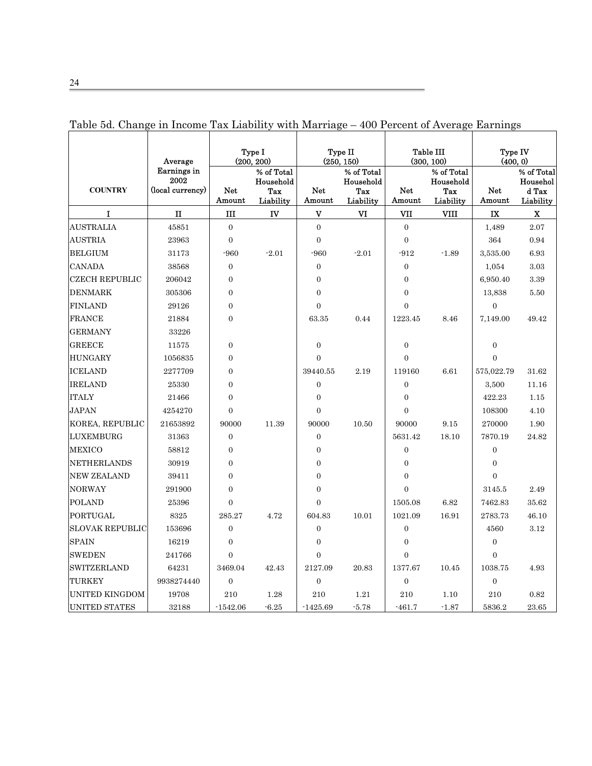|                        | Average<br>Earnings in   |                | Type I<br>(200, 200)<br>% of Total |                  | Type II<br>(250, 150)<br>% of Total |                      | Table III<br>(300, 100)<br>% of Total | Type IV<br>(400, 0)  | % of Total                     |
|------------------------|--------------------------|----------------|------------------------------------|------------------|-------------------------------------|----------------------|---------------------------------------|----------------------|--------------------------------|
| <b>COUNTRY</b>         | 2002<br>(local currency) | Net<br>Amount  | Household<br>Tax<br>Liability      | Net<br>Amount    | Household<br>Tax<br>Liability       | <b>Net</b><br>Amount | Household<br>Tax<br>Liability         | <b>Net</b><br>Amount | Househol<br>d Tax<br>Liability |
| $\mathbf I$            | $\mathbf{I}$             | Ш              | IV                                 | V                | VI                                  | VII                  | VIII                                  | IX                   | $\mathbf X$                    |
| <b>AUSTRALIA</b>       | 45851                    | $\overline{0}$ |                                    | $\overline{0}$   |                                     | $\overline{0}$       |                                       | 1,489                | 2.07                           |
| <b>AUSTRIA</b>         | 23963                    | $\overline{0}$ |                                    | $\overline{0}$   |                                     | $\overline{0}$       |                                       | 364                  | 0.94                           |
| <b>BELGIUM</b>         | 31173                    | $-960$         | $-2.01$                            | $-960$           | $-2.01$                             | $-912$               | $-1.89$                               | 3,535.00             | 6.93                           |
| <b>CANADA</b>          | 38568                    | $\overline{0}$ |                                    | $\overline{0}$   |                                     | $\overline{0}$       |                                       | 1,054                | 3.03                           |
| <b>CZECH REPUBLIC</b>  | 206042                   | $\theta$       |                                    | $\overline{0}$   |                                     | $\overline{0}$       |                                       | 6,950.40             | 3.39                           |
| <b>DENMARK</b>         | 305306                   | $\Omega$       |                                    | $\overline{0}$   |                                     | $\theta$             |                                       | 13,838               | 5.50                           |
| <b>FINLAND</b>         | 29126                    | $\overline{0}$ |                                    | $\boldsymbol{0}$ |                                     | $\overline{0}$       |                                       | $\boldsymbol{0}$     |                                |
| <b>FRANCE</b>          | 21884                    | $\overline{0}$ |                                    | 63.35            | 0.44                                | 1223.45              | 8.46                                  | 7,149.00             | 49.42                          |
| <b>GERMANY</b>         | 33226                    |                |                                    |                  |                                     |                      |                                       |                      |                                |
| <b>GREECE</b>          | 11575                    | $\overline{0}$ |                                    | $\overline{0}$   |                                     | $\overline{0}$       |                                       | $\overline{0}$       |                                |
| <b>HUNGARY</b>         | 1056835                  | $\overline{0}$ |                                    | $\overline{0}$   |                                     | $\overline{0}$       |                                       | $\theta$             |                                |
| <b>ICELAND</b>         | 2277709                  | $\overline{0}$ |                                    | 39440.55         | 2.19                                | 119160               | 6.61                                  | 575,022.79           | 31.62                          |
| <b>IRELAND</b>         | 25330                    | $\Omega$       |                                    | $\overline{0}$   |                                     | $\overline{0}$       |                                       | 3,500                | 11.16                          |
| <b>ITALY</b>           | 21466                    | $\Omega$       |                                    | $\overline{0}$   |                                     | $\Omega$             |                                       | 422.23               | 1.15                           |
| <b>JAPAN</b>           | 4254270                  | $\Omega$       |                                    | $\boldsymbol{0}$ |                                     | $\mathbf{0}$         |                                       | 108300               | 4.10                           |
| KOREA, REPUBLIC        | 21653892                 | 90000          | 11.39                              | 90000            | 10.50                               | 90000                | 9.15                                  | 270000               | 1.90                           |
| LUXEMBURG              | 31363                    | $\overline{0}$ |                                    | $\overline{0}$   |                                     | 5631.42              | 18.10                                 | 7870.19              | 24.82                          |
| <b>MEXICO</b>          | 58812                    | $\theta$       |                                    | $\overline{0}$   |                                     | $\overline{0}$       |                                       | $\overline{0}$       |                                |
| NETHERLANDS            | 30919                    | $\overline{0}$ |                                    | $\mathbf{0}$     |                                     | $\overline{0}$       |                                       | $\overline{0}$       |                                |
| <b>NEW ZEALAND</b>     | 39411                    | $\overline{0}$ |                                    | $\overline{0}$   |                                     | $\overline{0}$       |                                       | $\Omega$             |                                |
| <b>NORWAY</b>          | 291900                   | $\Omega$       |                                    | $\overline{0}$   |                                     | $\theta$             |                                       | 3145.5               | 2.49                           |
| <b>POLAND</b>          | 25396                    | $\Omega$       |                                    | $\Omega$         |                                     | 1505.08              | 6.82                                  | 7462.83              | 35.62                          |
| PORTUGAL               | 8325                     | 285.27         | 4.72                               | 604.83           | 10.01                               | 1021.09              | 16.91                                 | 2783.73              | 46.10                          |
| <b>SLOVAK REPUBLIC</b> | 153696                   | $\Omega$       |                                    | $\overline{0}$   |                                     | $\overline{0}$       |                                       | 4560                 | 3.12                           |
| <b>SPAIN</b>           | 16219                    | $\theta$       |                                    | $\boldsymbol{0}$ |                                     | $\boldsymbol{0}$     |                                       | $\mathbf{0}$         |                                |
| <b>SWEDEN</b>          | 241766                   | $\overline{0}$ |                                    | $\overline{0}$   |                                     | $\overline{0}$       |                                       | $\overline{0}$       |                                |
| SWITZERLAND            | 64231                    | 3469.04        | 42.43                              | 2127.09          | 20.83                               | 1377.67              | 10.45                                 | 1038.75              | 4.93                           |
| TURKEY                 | 9938274440               | $\overline{0}$ |                                    | $\overline{0}$   |                                     | $\overline{0}$       |                                       | $\mathbf{0}$         |                                |
| UNITED KINGDOM         | 19708                    | 210            | 1.28                               | 210              | 1.21                                | 210                  | 1.10                                  | 210                  | 0.82                           |
| <b>UNITED STATES</b>   | 32188                    | $-1542.06$     | $-6.25$                            | $-1425.69$       | $-5.78$                             | $-461.7$             | $-1.87$                               | 5836.2               | 23.65                          |

Table 5d. Change in Income Tax Liability with Marriage – 400 Percent of Average Earnings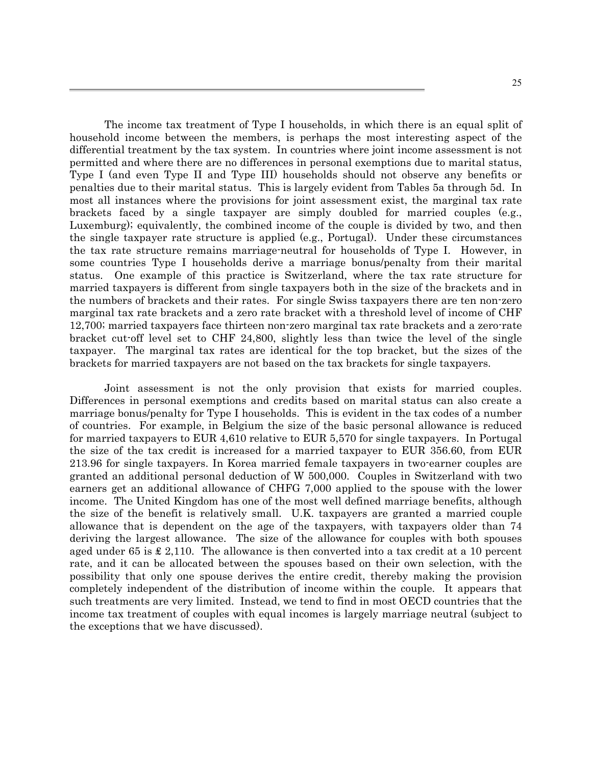The income tax treatment of Type I households, in which there is an equal split of household income between the members, is perhaps the most interesting aspect of the differential treatment by the tax system. In countries where joint income assessment is not permitted and where there are no differences in personal exemptions due to marital status, Type I (and even Type II and Type III) households should not observe any benefits or penalties due to their marital status. This is largely evident from Tables 5a through 5d. In most all instances where the provisions for joint assessment exist, the marginal tax rate brackets faced by a single taxpayer are simply doubled for married couples (e.g., Luxemburg); equivalently, the combined income of the couple is divided by two, and then the single taxpayer rate structure is applied (e.g., Portugal). Under these circumstances the tax rate structure remains marriage-neutral for households of Type I. However, in some countries Type I households derive a marriage bonus/penalty from their marital status. One example of this practice is Switzerland, where the tax rate structure for married taxpayers is different from single taxpayers both in the size of the brackets and in the numbers of brackets and their rates. For single Swiss taxpayers there are ten non-zero marginal tax rate brackets and a zero rate bracket with a threshold level of income of CHF 12,700; married taxpayers face thirteen non-zero marginal tax rate brackets and a zero-rate bracket cut-off level set to CHF 24,800, slightly less than twice the level of the single taxpayer. The marginal tax rates are identical for the top bracket, but the sizes of the brackets for married taxpayers are not based on the tax brackets for single taxpayers.

Joint assessment is not the only provision that exists for married couples. Differences in personal exemptions and credits based on marital status can also create a marriage bonus/penalty for Type I households. This is evident in the tax codes of a number of countries. For example, in Belgium the size of the basic personal allowance is reduced for married taxpayers to EUR 4,610 relative to EUR 5,570 for single taxpayers. In Portugal the size of the tax credit is increased for a married taxpayer to EUR 356.60, from EUR 213.96 for single taxpayers. In Korea married female taxpayers in two-earner couples are granted an additional personal deduction of W 500,000. Couples in Switzerland with two earners get an additional allowance of CHFG 7,000 applied to the spouse with the lower income. The United Kingdom has one of the most well defined marriage benefits, although the size of the benefit is relatively small. U.K. taxpayers are granted a married couple allowance that is dependent on the age of the taxpayers, with taxpayers older than 74 deriving the largest allowance. The size of the allowance for couples with both spouses aged under 65 is  $\pounds$  2,110. The allowance is then converted into a tax credit at a 10 percent rate, and it can be allocated between the spouses based on their own selection, with the possibility that only one spouse derives the entire credit, thereby making the provision completely independent of the distribution of income within the couple. It appears that such treatments are very limited. Instead, we tend to find in most OECD countries that the income tax treatment of couples with equal incomes is largely marriage neutral (subject to the exceptions that we have discussed).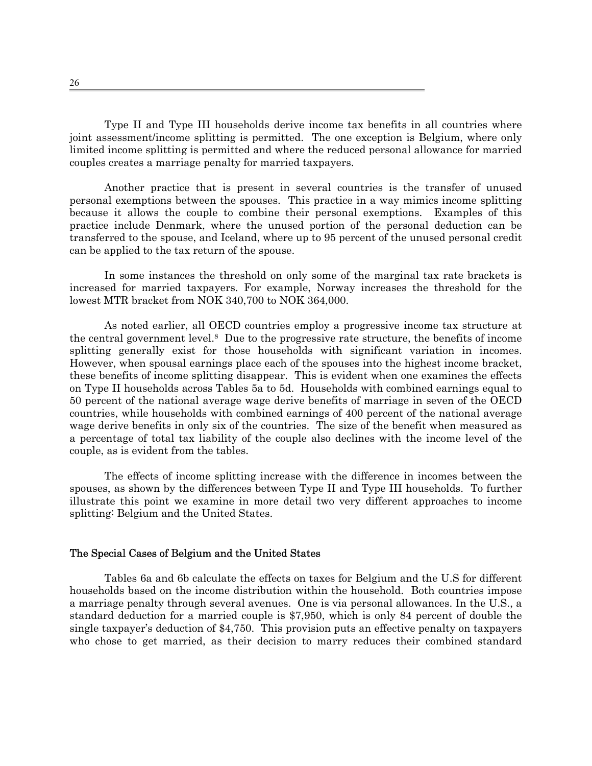Type II and Type III households derive income tax benefits in all countries where joint assessment/income splitting is permitted. The one exception is Belgium, where only limited income splitting is permitted and where the reduced personal allowance for married couples creates a marriage penalty for married taxpayers.

Another practice that is present in several countries is the transfer of unused personal exemptions between the spouses. This practice in a way mimics income splitting because it allows the couple to combine their personal exemptions. Examples of this practice include Denmark, where the unused portion of the personal deduction can be transferred to the spouse, and Iceland, where up to 95 percent of the unused personal credit can be applied to the tax return of the spouse.

In some instances the threshold on only some of the marginal tax rate brackets is increased for married taxpayers. For example, Norway increases the threshold for the lowest MTR bracket from NOK 340,700 to NOK 364,000.

As noted earlier, all OECD countries employ a progressive income tax structure at the central government level.[8](#page-35-7) Due to the progressive rate structure, the benefits of income splitting generally exist for those households with significant variation in incomes. However, when spousal earnings place each of the spouses into the highest income bracket, these benefits of income splitting disappear. This is evident when one examines the effects on Type II households across Tables 5a to 5d. Households with combined earnings equal to 50 percent of the national average wage derive benefits of marriage in seven of the OECD countries, while households with combined earnings of 400 percent of the national average wage derive benefits in only six of the countries. The size of the benefit when measured as a percentage of total tax liability of the couple also declines with the income level of the couple, as is evident from the tables.

The effects of income splitting increase with the difference in incomes between the spouses, as shown by the differences between Type II and Type III households. To further illustrate this point we examine in more detail two very different approaches to income splitting: Belgium and the United States.

#### The Special Cases of Belgium and the United States

Tables 6a and 6b calculate the effects on taxes for Belgium and the U.S for different households based on the income distribution within the household. Both countries impose a marriage penalty through several avenues. One is via personal allowances. In the U.S., a standard deduction for a married couple is \$7,950, which is only 84 percent of double the single taxpayer's deduction of \$4,750. This provision puts an effective penalty on taxpayers who chose to get married, as their decision to marry reduces their combined standard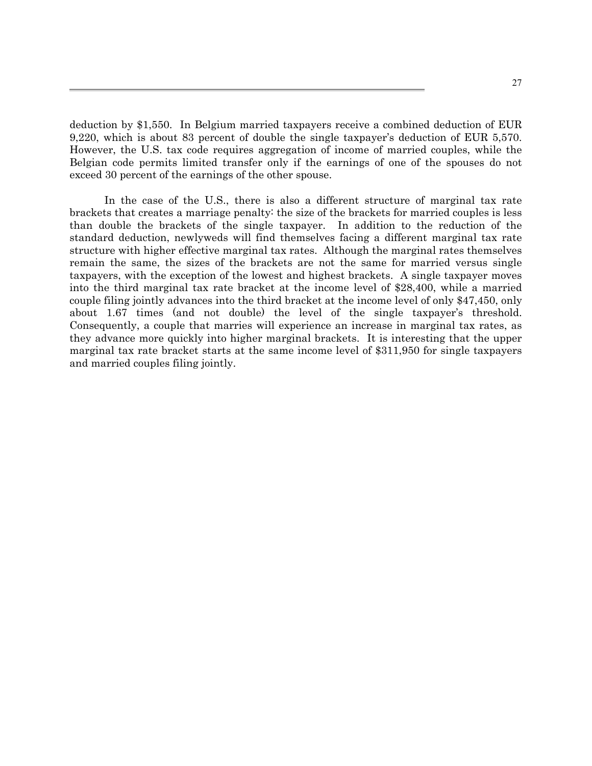deduction by \$1,550. In Belgium married taxpayers receive a combined deduction of EUR 9,220, which is about 83 percent of double the single taxpayer's deduction of EUR 5,570. However, the U.S. tax code requires aggregation of income of married couples, while the Belgian code permits limited transfer only if the earnings of one of the spouses do not exceed 30 percent of the earnings of the other spouse.

In the case of the U.S., there is also a different structure of marginal tax rate brackets that creates a marriage penalty: the size of the brackets for married couples is less than double the brackets of the single taxpayer. In addition to the reduction of the standard deduction, newlyweds will find themselves facing a different marginal tax rate structure with higher effective marginal tax rates. Although the marginal rates themselves remain the same, the sizes of the brackets are not the same for married versus single taxpayers, with the exception of the lowest and highest brackets. A single taxpayer moves into the third marginal tax rate bracket at the income level of \$28,400, while a married couple filing jointly advances into the third bracket at the income level of only \$47,450, only about 1.67 times (and not double) the level of the single taxpayer's threshold. Consequently, a couple that marries will experience an increase in marginal tax rates, as they advance more quickly into higher marginal brackets. It is interesting that the upper marginal tax rate bracket starts at the same income level of \$311,950 for single taxpayers and married couples filing jointly.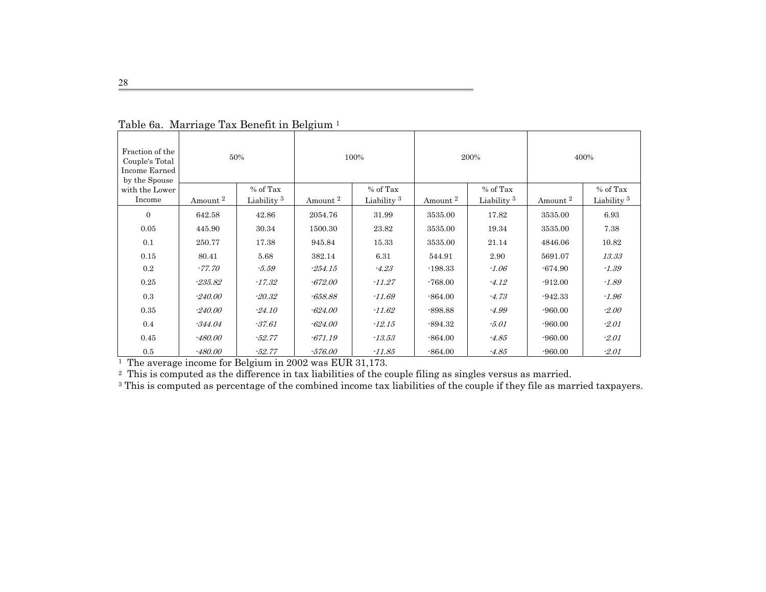| Fraction of the<br>Couple's Total<br>Income Earned<br>by the Spouse |                     | 50%                    |                     | 100%                   |                     | 200%                   |                     | 400%                   |
|---------------------------------------------------------------------|---------------------|------------------------|---------------------|------------------------|---------------------|------------------------|---------------------|------------------------|
| with the Lower                                                      |                     | % of Tax               |                     | % of Tax               |                     | % of Tax               |                     | % of Tax               |
| Income                                                              | Amount <sup>2</sup> | Liability <sup>3</sup> | Amount <sup>2</sup> | Liability <sup>3</sup> | Amount <sup>2</sup> | Liability <sup>3</sup> | Amount <sup>2</sup> | Liability <sup>3</sup> |
| $\theta$                                                            | 642.58              | 42.86                  | 2054.76             | 31.99                  | 3535.00             | 17.82                  | 3535.00             | 6.93                   |
| 0.05                                                                | 445.90              | 30.34                  | 1500.30             | 23.82                  | 3535.00             | 19.34                  | 3535.00             | 7.38                   |
| 0.1                                                                 | 250.77              | 17.38                  | 945.84              | 15.33                  | 3535.00             | 21.14                  | 4846.06             | 10.82                  |
| 0.15                                                                | 80.41               | 5.68                   | 382.14              | 6.31                   | 544.91              | 2.90                   | 5691.07             | 13.33                  |
| 0.2                                                                 | $-77.70$            | $-5.59$                | $-254.15$           | $-4.23$                | $-198.33$           | $-1.06$                | $-674.90$           | $-1.39$                |
| 0.25                                                                | $-235.82$           | $-17.32$               | $-672.00$           | $-11.27$               | $-768.00$           | $-4.12$                | $-912.00$           | $-1.89$                |
| 0.3                                                                 | $-240.00$           | $-20.32$               | -658.88             | $-11.69$               | $-864.00$           | $-4.73$                | $-942.33$           | $-1.96$                |
| 0.35                                                                | $-240.00$           | $-24.10$               | $-624.00$           | $-11.62$               | $-898.88$           | $-4.99$                | $-960.00$           | $-2.00$                |
| 0.4                                                                 | $-344.04$           | $-37.61$               | $-624.00$           | $-12.15$               | $-894.32$           | $-5.01$                | $-960.00$           | $-2.01$                |
| 0.45                                                                | $-480.00$           | $-52.77$               | $-671.19$           | $-13.53$               | $-864.00$           | $-4.85$                | $-960.00$           | $-2.01$                |
| 0.5                                                                 | $-480.00$           | $-52.77$               | $-576.00$           | $-11.85$               | $-864.00$           | $-4.85$                | $-960.00$           | $-2.01$                |

| Table 6a. Marriage Tax Benefit in Belgium <sup>1</sup> |  |
|--------------------------------------------------------|--|
|--------------------------------------------------------|--|

1 The average income for Belgium in 2002 was EUR 31,173.

<sup>2</sup> This is computed as the difference in tax liabilities of the couple filing as singles versus as married.

<sup>3</sup> This is computed as percentage of the combined income tax liabilities of the couple if they file as married taxpayers.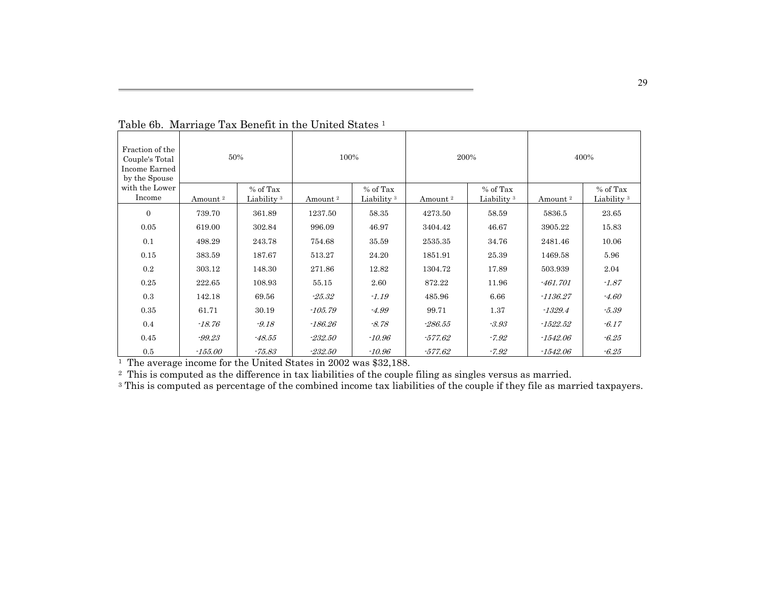| Fraction of the<br>Couple's Total<br>Income Earned<br>by the Spouse | 50%                 |                                    |                     | 100%                               |                     | 200%                               | 400%                |                                    |
|---------------------------------------------------------------------|---------------------|------------------------------------|---------------------|------------------------------------|---------------------|------------------------------------|---------------------|------------------------------------|
| with the Lower<br>Income                                            | Amount <sup>2</sup> | % of Tax<br>Liability <sup>3</sup> | Amount <sup>2</sup> | % of Tax<br>Liability <sup>3</sup> | Amount <sup>2</sup> | % of Tax<br>Liability <sup>3</sup> | Amount <sup>2</sup> | % of Tax<br>Liability <sup>3</sup> |
| $\mathbf{0}$                                                        | 739.70              | 361.89                             | 1237.50             | 58.35                              | 4273.50             | 58.59                              | 5836.5              | 23.65                              |
| 0.05                                                                | 619.00              | 302.84                             | 996.09              | 46.97                              | 3404.42             | 46.67                              | 3905.22             | 15.83                              |
|                                                                     |                     |                                    |                     |                                    |                     |                                    |                     |                                    |
| 0.1                                                                 | 498.29              | 243.78                             | 754.68              | 35.59                              | 2535.35             | 34.76                              | 2481.46             | 10.06                              |
| 0.15                                                                | 383.59              | 187.67                             | 513.27              | 24.20                              | 1851.91             | 25.39                              | 1469.58             | 5.96                               |
| 0.2                                                                 | 303.12              | 148.30                             | 271.86              | 12.82                              | 1304.72             | 17.89                              | 503.939             | 2.04                               |
| 0.25                                                                | 222.65              | 108.93                             | 55.15               | 2.60                               | 872.22              | 11.96                              | $-461.701$          | $-1.87$                            |
| 0.3                                                                 | 142.18              | 69.56                              | $-25.32$            | $-1.19$                            | 485.96              | 6.66                               | $-1136.27$          | $-4.60$                            |
| 0.35                                                                | 61.71               | 30.19                              | $-105.79$           | $-4.99$                            | 99.71               | 1.37                               | $-1329.4$           | -5.39                              |
| 0.4                                                                 | $-18.76$            | $-9.18$                            | -186.26             | $-8.78$                            | -286.55             | $-3.93$                            | $-1522.52$          | $-6.17$                            |
| 0.45                                                                | -99.23              | $-48.55$                           | $-232.50$           | $-10.96$                           | -577.62             | $-7.92$                            | $-1542.06$          | $-6.25$                            |
| 0.5                                                                 | $-155.00$           | $-75.83$                           | $-232.50$           | $-10.96$                           | $-577.62$           | $-7.92$                            | $-1542.06$          | $-6.25$                            |

Table 6b. Marriage Tax Benefit in the United States 1

1 The average income for the United States in 2002 was \$32,188.

<sup>3</sup> This is computed as percentage of the combined income tax liabilities of the couple if they file as married taxpayers.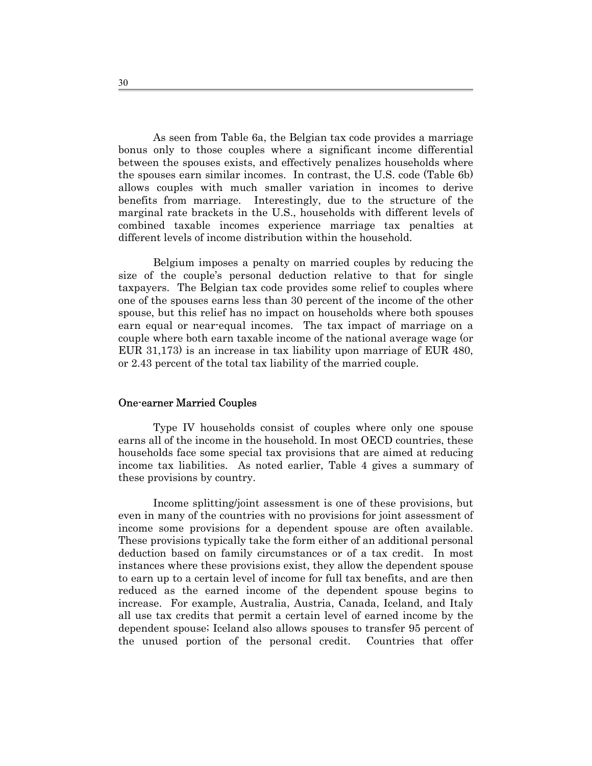As seen from Table 6a, the Belgian tax code provides a marriage bonus only to those couples where a significant income differential between the spouses exists, and effectively penalizes households where the spouses earn similar incomes. In contrast, the U.S. code (Table 6b) allows couples with much smaller variation in incomes to derive benefits from marriage. Interestingly, due to the structure of the marginal rate brackets in the U.S., households with different levels of combined taxable incomes experience marriage tax penalties at different levels of income distribution within the household.

Belgium imposes a penalty on married couples by reducing the size of the couple's personal deduction relative to that for single taxpayers. The Belgian tax code provides some relief to couples where one of the spouses earns less than 30 percent of the income of the other spouse, but this relief has no impact on households where both spouses earn equal or near-equal incomes. The tax impact of marriage on a couple where both earn taxable income of the national average wage (or EUR 31,173) is an increase in tax liability upon marriage of EUR 480, or 2.43 percent of the total tax liability of the married couple.

#### One-earner Married Couples

Type IV households consist of couples where only one spouse earns all of the income in the household. In most OECD countries, these households face some special tax provisions that are aimed at reducing income tax liabilities. As noted earlier, Table 4 gives a summary of these provisions by country.

 Income splitting/joint assessment is one of these provisions, but even in many of the countries with no provisions for joint assessment of income some provisions for a dependent spouse are often available. These provisions typically take the form either of an additional personal deduction based on family circumstances or of a tax credit. In most instances where these provisions exist, they allow the dependent spouse to earn up to a certain level of income for full tax benefits, and are then reduced as the earned income of the dependent spouse begins to increase. For example, Australia, Austria, Canada, Iceland, and Italy all use tax credits that permit a certain level of earned income by the dependent spouse; Iceland also allows spouses to transfer 95 percent of the unused portion of the personal credit. Countries that offer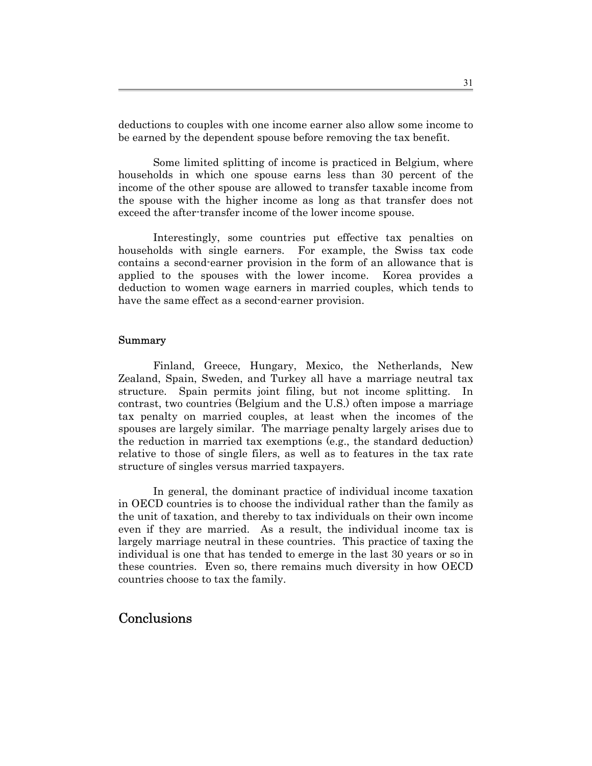deductions to couples with one income earner also allow some income to be earned by the dependent spouse before removing the tax benefit.

 Some limited splitting of income is practiced in Belgium, where households in which one spouse earns less than 30 percent of the income of the other spouse are allowed to transfer taxable income from the spouse with the higher income as long as that transfer does not exceed the after-transfer income of the lower income spouse.

 Interestingly, some countries put effective tax penalties on households with single earners. For example, the Swiss tax code contains a second-earner provision in the form of an allowance that is applied to the spouses with the lower income. Korea provides a deduction to women wage earners in married couples, which tends to have the same effect as a second-earner provision.

#### Summary

Finland, Greece, Hungary, Mexico, the Netherlands, New Zealand, Spain, Sweden, and Turkey all have a marriage neutral tax structure. Spain permits joint filing, but not income splitting. In contrast, two countries (Belgium and the U.S.) often impose a marriage tax penalty on married couples, at least when the incomes of the spouses are largely similar. The marriage penalty largely arises due to the reduction in married tax exemptions (e.g., the standard deduction) relative to those of single filers, as well as to features in the tax rate structure of singles versus married taxpayers.

In general, the dominant practice of individual income taxation in OECD countries is to choose the individual rather than the family as the unit of taxation, and thereby to tax individuals on their own income even if they are married. As a result, the individual income tax is largely marriage neutral in these countries. This practice of taxing the individual is one that has tended to emerge in the last 30 years or so in these countries. Even so, there remains much diversity in how OECD countries choose to tax the family.

# **Conclusions**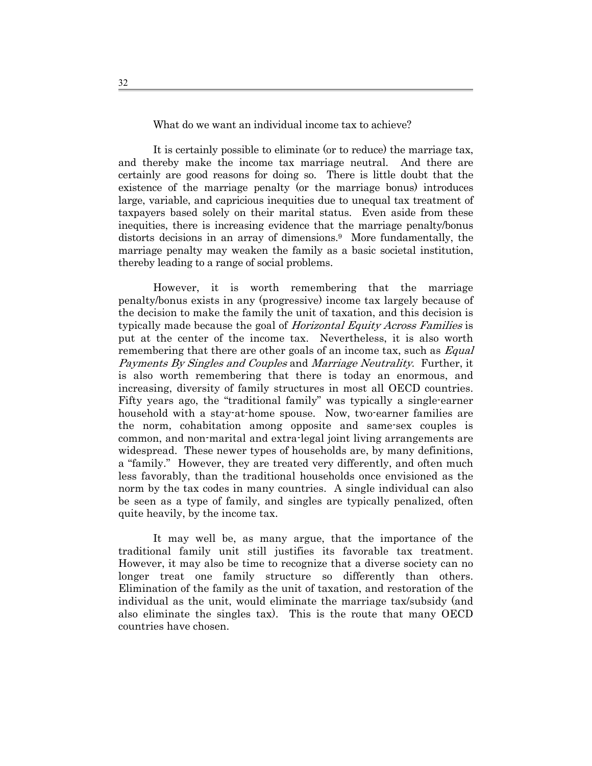What do we want an individual income tax to achieve?

 It is certainly possible to eliminate (or to reduce) the marriage tax, and thereby make the income tax marriage neutral. And there are certainly are good reasons for doing so. There is little doubt that the existence of the marriage penalty (or the marriage bonus) introduces large, variable, and capricious inequities due to unequal tax treatment of taxpayers based solely on their marital status. Even aside from these inequities, there is increasing evidence that the marriage penalty/bonus distorts decisions in an array of dimensions.<sup>9</sup> More fundamentally, the marriage penalty may weaken the family as a basic societal institution, thereby leading to a range of social problems.

However, it is worth remembering that the marriage penalty/bonus exists in any (progressive) income tax largely because of the decision to make the family the unit of taxation, and this decision is typically made because the goal of *Horizontal Equity Across Families* is put at the center of the income tax. Nevertheless, it is also worth remembering that there are other goals of an income tax, such as *Equal* Payments By Singles and Couples and Marriage Neutrality. Further, it is also worth remembering that there is today an enormous, and increasing, diversity of family structures in most all OECD countries. Fifty years ago, the "traditional family" was typically a single-earner household with a stay-at-home spouse. Now, two-earner families are the norm, cohabitation among opposite and same-sex couples is common, and non-marital and extra-legal joint living arrangements are widespread. These newer types of households are, by many definitions, a "family." However, they are treated very differently, and often much less favorably, than the traditional households once envisioned as the norm by the tax codes in many countries. A single individual can also be seen as a type of family, and singles are typically penalized, often quite heavily, by the income tax.

It may well be, as many argue, that the importance of the traditional family unit still justifies its favorable tax treatment. However, it may also be time to recognize that a diverse society can no longer treat one family structure so differently than others. Elimination of the family as the unit of taxation, and restoration of the individual as the unit, would eliminate the marriage tax/subsidy (and also eliminate the singles tax). This is the route that many OECD countries have chosen.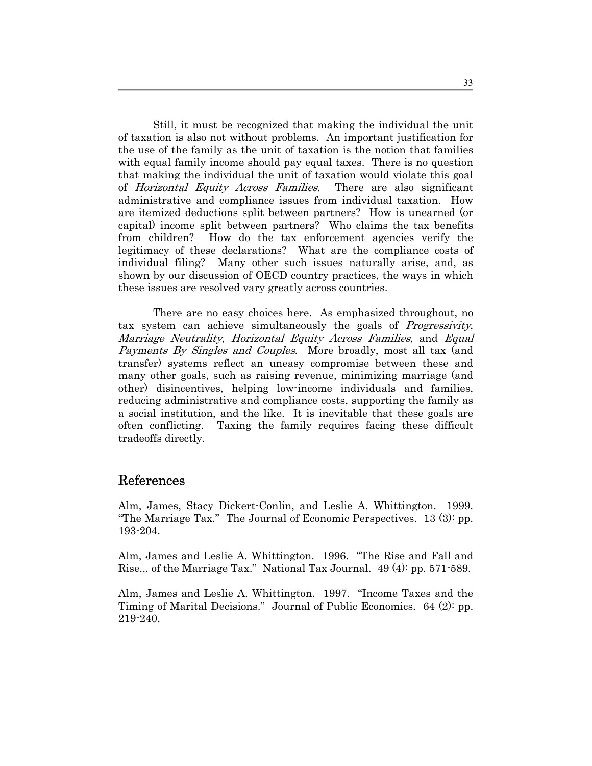Still, it must be recognized that making the individual the unit of taxation is also not without problems. An important justification for the use of the family as the unit of taxation is the notion that families with equal family income should pay equal taxes. There is no question that making the individual the unit of taxation would violate this goal of Horizontal Equity Across Families. There are also significant administrative and compliance issues from individual taxation. How are itemized deductions split between partners? How is unearned (or capital) income split between partners? Who claims the tax benefits from children? How do the tax enforcement agencies verify the legitimacy of these declarations? What are the compliance costs of individual filing? Many other such issues naturally arise, and, as shown by our discussion of OECD country practices, the ways in which these issues are resolved vary greatly across countries.

There are no easy choices here. As emphasized throughout, no tax system can achieve simultaneously the goals of Progressivity, Marriage Neutrality, Horizontal Equity Across Families, and Equal Payments By Singles and Couples. More broadly, most all tax (and transfer) systems reflect an uneasy compromise between these and many other goals, such as raising revenue, minimizing marriage (and other) disincentives, helping low-income individuals and families, reducing administrative and compliance costs, supporting the family as a social institution, and the like. It is inevitable that these goals are often conflicting. Taxing the family requires facing these difficult tradeoffs directly.

# References

Alm, James, Stacy Dickert-Conlin, and Leslie A. Whittington. 1999. "The Marriage Tax." The Journal of Economic Perspectives. 13 (3): pp. 193-204.

Alm, James and Leslie A. Whittington. 1996. "The Rise and Fall and Rise... of the Marriage Tax." National Tax Journal. 49 (4): pp. 571-589.

Alm, James and Leslie A. Whittington. 1997. "Income Taxes and the Timing of Marital Decisions." Journal of Public Economics. 64 (2): pp. 219-240.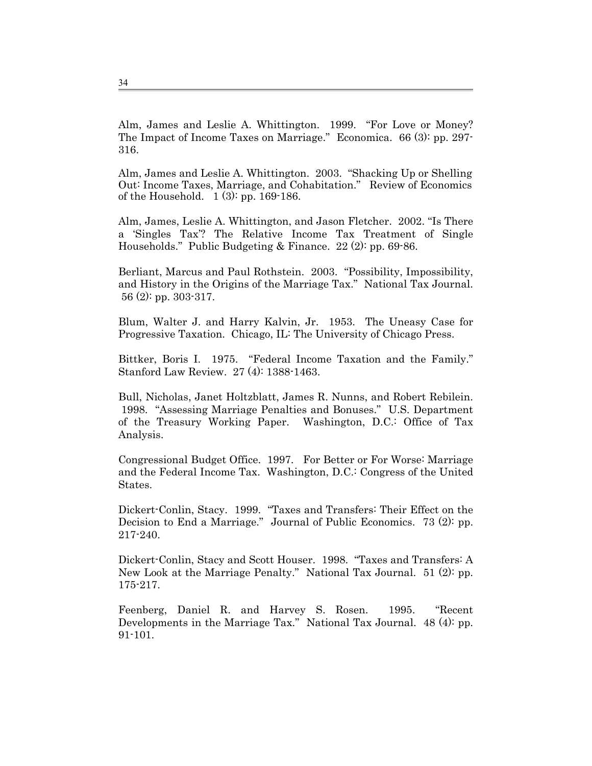Alm, James and Leslie A. Whittington. 1999. "For Love or Money? The Impact of Income Taxes on Marriage." Economica. 66 (3): pp. 297- 316.

Alm, James and Leslie A. Whittington. 2003. "Shacking Up or Shelling Out: Income Taxes, Marriage, and Cohabitation." Review of Economics of the Household. 1 (3): pp. 169-186.

Alm, James, Leslie A. Whittington, and Jason Fletcher. 2002. "Is There a 'Singles Tax'? The Relative Income Tax Treatment of Single Households." Public Budgeting & Finance. 22 (2): pp. 69-86.

Berliant, Marcus and Paul Rothstein. 2003. "Possibility, Impossibility, and History in the Origins of the Marriage Tax." National Tax Journal. 56 (2): pp. 303-317.

Blum, Walter J. and Harry Kalvin, Jr. 1953. The Uneasy Case for Progressive Taxation. Chicago, IL: The University of Chicago Press.

Bittker, Boris I. 1975. "Federal Income Taxation and the Family." Stanford Law Review. 27 (4): 1388-1463.

Bull, Nicholas, Janet Holtzblatt, James R. Nunns, and Robert Rebilein. 1998. "Assessing Marriage Penalties and Bonuses." U.S. Department of the Treasury Working Paper. Washington, D.C.: Office of Tax Analysis.

Congressional Budget Office. 1997. For Better or For Worse: Marriage and the Federal Income Tax. Washington, D.C.: Congress of the United States.

Dickert-Conlin, Stacy. 1999. "Taxes and Transfers: Their Effect on the Decision to End a Marriage." Journal of Public Economics. 73 (2): pp. 217-240.

Dickert-Conlin, Stacy and Scott Houser. 1998. "Taxes and Transfers: A New Look at the Marriage Penalty." National Tax Journal. 51 (2): pp. 175-217.

Feenberg, Daniel R. and Harvey S. Rosen. 1995. "Recent Developments in the Marriage Tax." National Tax Journal. 48 (4): pp. 91-101.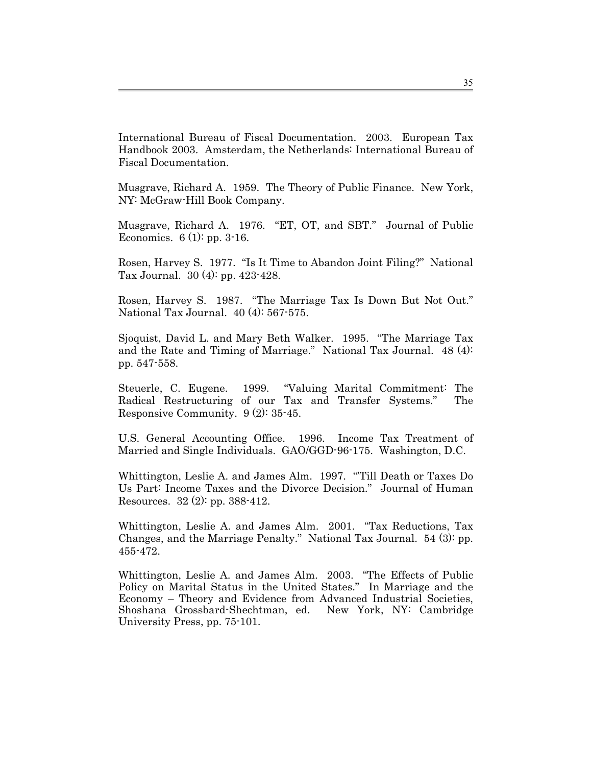International Bureau of Fiscal Documentation. 2003. European Tax Handbook 2003. Amsterdam, the Netherlands: International Bureau of Fiscal Documentation.

Musgrave, Richard A. 1959. The Theory of Public Finance. New York, NY: McGraw-Hill Book Company.

Musgrave, Richard A. 1976. "ET, OT, and SBT." Journal of Public Economics. 6 (1): pp. 3-16.

Rosen, Harvey S. 1977. "Is It Time to Abandon Joint Filing?" National Tax Journal. 30 (4): pp. 423-428.

Rosen, Harvey S. 1987. "The Marriage Tax Is Down But Not Out." National Tax Journal. 40 (4): 567-575.

Sjoquist, David L. and Mary Beth Walker. 1995. "The Marriage Tax and the Rate and Timing of Marriage." National Tax Journal. 48 (4): pp. 547-558.

Steuerle, C. Eugene. 1999. "Valuing Marital Commitment: The Radical Restructuring of our Tax and Transfer Systems." The Responsive Community. 9 (2): 35-45.

U.S. General Accounting Office. 1996. Income Tax Treatment of Married and Single Individuals. GAO/GGD-96-175. Washington, D.C.

Whittington, Leslie A. and James Alm. 1997. "'Till Death or Taxes Do Us Part: Income Taxes and the Divorce Decision." Journal of Human Resources. 32 (2): pp. 388-412.

Whittington, Leslie A. and James Alm. 2001. "Tax Reductions, Tax Changes, and the Marriage Penalty." National Tax Journal. 54 (3): pp. 455-472.

Whittington, Leslie A. and James Alm. 2003. "The Effects of Public Policy on Marital Status in the United States." In Marriage and the Economy – Theory and Evidence from Advanced Industrial Societies, Shoshana Grossbard-Shechtman, ed. New York, NY: Cambridge University Press, pp. 75-101.